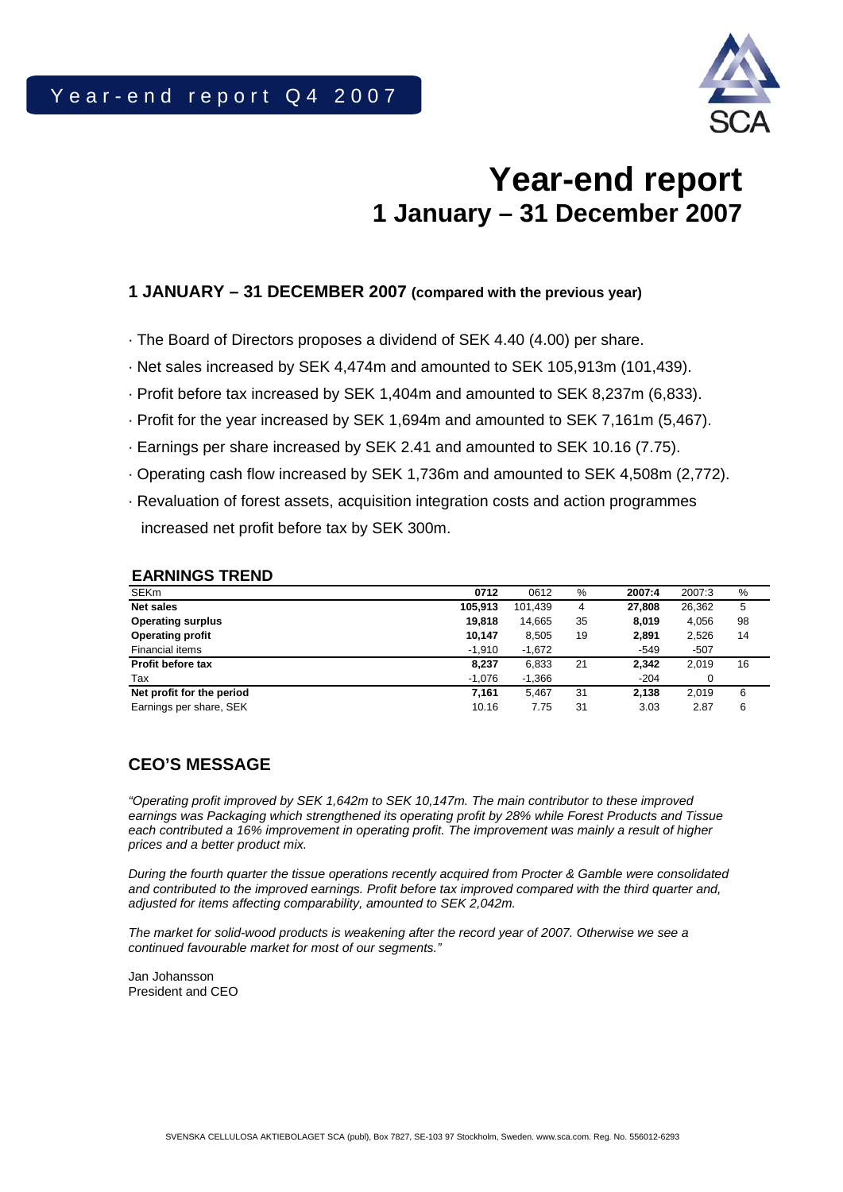

# **Year-end report 1 January – 31 December 2007**

# **1 JANUARY – 31 DECEMBER 2007 (compared with the previous year)**

- · The Board of Directors proposes a dividend of SEK 4.40 (4.00) per share.
- · Net sales increased by SEK 4,474m and amounted to SEK 105,913m (101,439).
- · Profit before tax increased by SEK 1,404m and amounted to SEK 8,237m (6,833).
- · Profit for the year increased by SEK 1,694m and amounted to SEK 7,161m (5,467).
- · Earnings per share increased by SEK 2.41 and amounted to SEK 10.16 (7.75).
- · Operating cash flow increased by SEK 1,736m and amounted to SEK 4,508m (2,772).
- · Revaluation of forest assets, acquisition integration costs and action programmes increased net profit before tax by SEK 300m.

#### **EARNINGS TREND**

| <b>SEKm</b>               | 0712     | 0612     | $\%$ | 2007:4 | 2007:3 | %  |
|---------------------------|----------|----------|------|--------|--------|----|
| <b>Net sales</b>          | 105.913  | 101.439  | 4    | 27,808 | 26,362 | 5  |
| <b>Operating surplus</b>  | 19,818   | 14,665   | 35   | 8.019  | 4.056  | 98 |
| <b>Operating profit</b>   | 10.147   | 8,505    | 19   | 2,891  | 2,526  | 14 |
| Financial items           | $-1.910$ | $-1.672$ |      | $-549$ | -507   |    |
| <b>Profit before tax</b>  | 8,237    | 6,833    | 21   | 2,342  | 2,019  | 16 |
| Tax                       | $-1,076$ | $-1,366$ |      | $-204$ | 0      |    |
| Net profit for the period | 7.161    | 5.467    | 31   | 2.138  | 2.019  | 6  |
| Earnings per share, SEK   | 10.16    | 7.75     | 31   | 3.03   | 2.87   | 6  |

# **CEO'S MESSAGE**

*"Operating profit improved by SEK 1,642m to SEK 10,147m. The main contributor to these improved earnings was Packaging which strengthened its operating profit by 28% while Forest Products and Tissue each contributed a 16% improvement in operating profit. The improvement was mainly a result of higher prices and a better product mix.* 

*During the fourth quarter the tissue operations recently acquired from Procter & Gamble were consolidated and contributed to the improved earnings. Profit before tax improved compared with the third quarter and, adjusted for items affecting comparability, amounted to SEK 2,042m.* 

*The market for solid-wood products is weakening after the record year of 2007. Otherwise we see a continued favourable market for most of our segments."* 

Jan Johansson President and CEO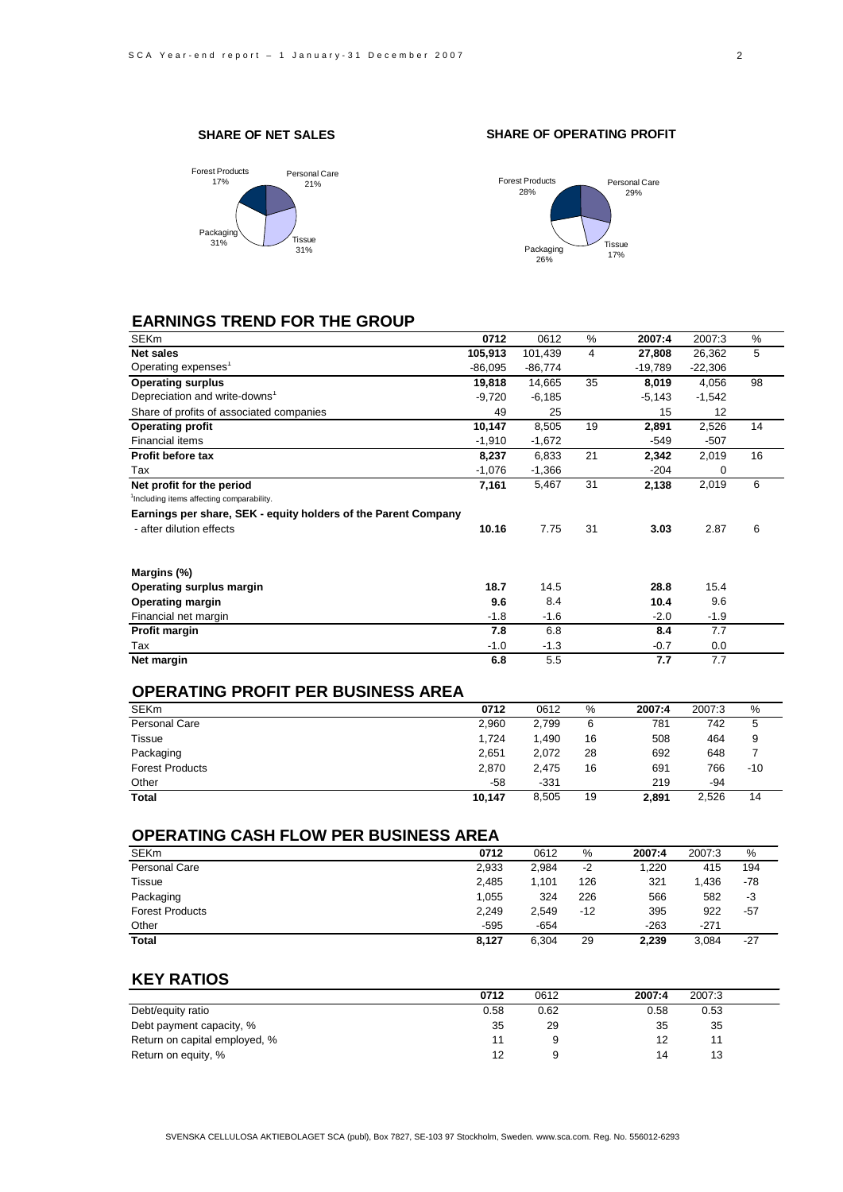#### **SHARE OF NET SALES**







# **EARNINGS TREND FOR THE GROUP**

| 0712      | 0612      |    | 2007:4    | 2007:3    | %  |
|-----------|-----------|----|-----------|-----------|----|
| 105,913   | 101,439   | 4  | 27,808    | 26,362    | 5  |
| $-86,095$ | $-86,774$ |    | $-19,789$ | $-22,306$ |    |
| 19,818    | 14,665    | 35 | 8,019     | 4,056     | 98 |
| $-9,720$  | $-6,185$  |    | $-5,143$  | $-1,542$  |    |
| 49        | 25        |    | 15        | 12        |    |
| 10,147    | 8,505     | 19 | 2,891     | 2,526     | 14 |
| $-1,910$  | $-1,672$  |    | $-549$    | $-507$    |    |
| 8,237     | 6,833     | 21 | 2,342     | 2,019     | 16 |
| $-1,076$  | $-1,366$  |    | $-204$    | 0         |    |
| 7,161     | 5,467     | 31 | 2,138     | 2,019     | 6  |
|           |           |    |           |           |    |
|           |           |    |           |           |    |
| 10.16     | 7.75      | 31 | 3.03      | 2.87      | 6  |
|           |           |    |           |           |    |
| 18.7      | 14.5      |    | 28.8      | 15.4      |    |
| 9.6       | 8.4       |    | 10.4      | 9.6       |    |
| $-1.8$    | $-1.6$    |    | $-2.0$    | $-1.9$    |    |
| 7.8       | 6.8       |    | 8.4       | 7.7       |    |
| $-1.0$    | $-1.3$    |    | $-0.7$    | 0.0       |    |
| 6.8       | 5.5       |    | 7.7       | 7.7       |    |
|           |           |    | $\%$      |           |    |

#### **OPERATING PROFIT PER BUSINESS AREA**

| <b>SEKm</b>            | 0712   | 0612   | %  | 2007:4 | 2007:3 | %     |
|------------------------|--------|--------|----|--------|--------|-------|
| Personal Care          | 2.960  | 2.799  | 6  | 781    | 742    | 5     |
| Tissue                 | 1,724  | .490   | 16 | 508    | 464    | 9     |
| Packaging              | 2.651  | 2.072  | 28 | 692    | 648    |       |
| <b>Forest Products</b> | 2.870  | 2.475  | 16 | 691    | 766    | $-10$ |
| Other                  | -58    | $-331$ |    | 219    | -94    |       |
| Total                  | 10.147 | 8.505  | 19 | 2.891  | 2.526  | 14    |

### **OPERATING CASH FLOW PER BUSINESS AREA**

| <b>SEKm</b>            | 0712   | 0612   | %   | 2007:4 | 2007:3 | %     |
|------------------------|--------|--------|-----|--------|--------|-------|
| Personal Care          | 2,933  | 2.984  | -2  | 1.220  | 415    | 194   |
| <b>Tissue</b>          | 2.485  | 1.101  | 126 | 321    | 1.436  | -78   |
| Packaging              | 1.055  | 324    | 226 | 566    | 582    | -3    |
| <b>Forest Products</b> | 2,249  | 2.549  | -12 | 395    | 922    | -57   |
| Other                  | $-595$ | $-654$ |     | $-263$ | $-271$ |       |
| <b>Total</b>           | 8,127  | 6,304  | 29  | 2.239  | 3.084  | $-27$ |

### **KEY RATIOS**

|                               | 0712 | 0612 | 2007:4 | 2007:3 |  |
|-------------------------------|------|------|--------|--------|--|
| Debt/equity ratio             | 0.58 | 0.62 | 0.58   | 0.53   |  |
| Debt payment capacity, %      | 35   | 29   | 35     | 35     |  |
| Return on capital employed, % |      |      |        |        |  |
| Return on equity, %           | 12   |      | 14     | 13     |  |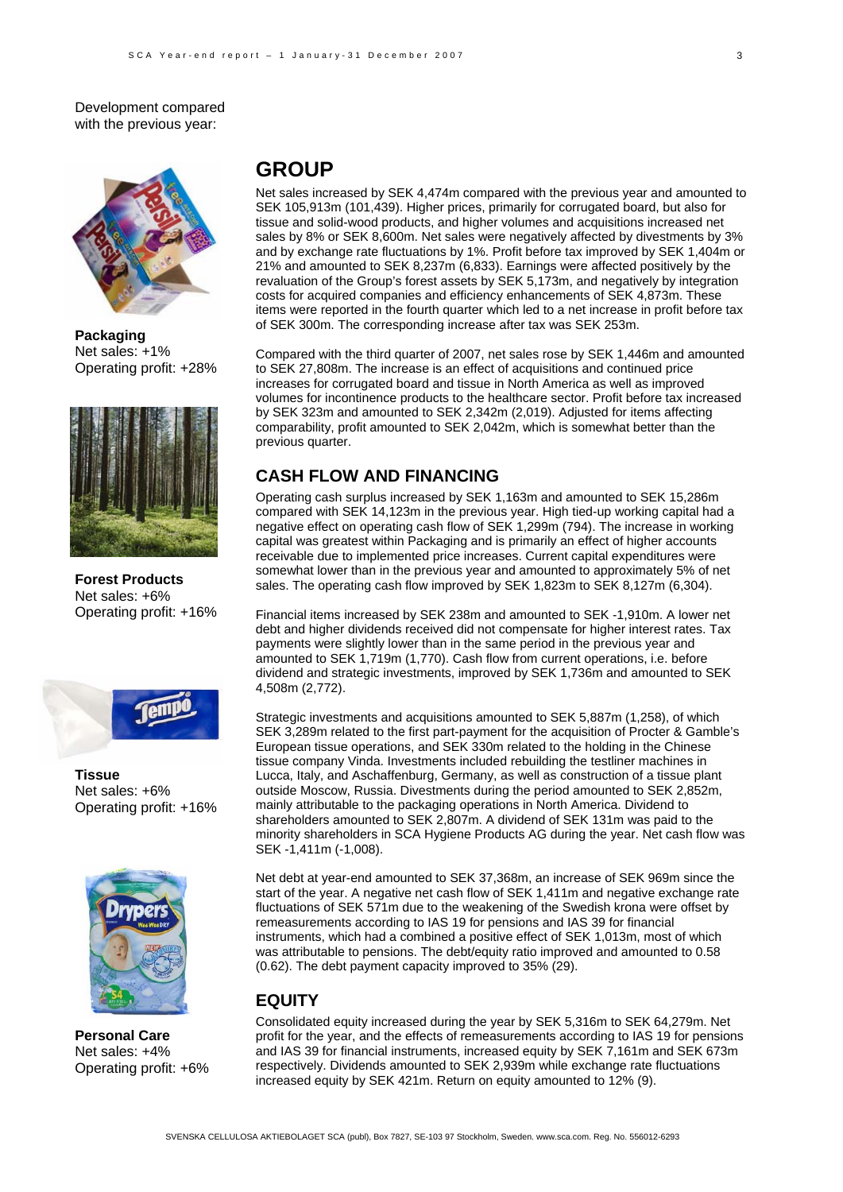Development compared with the previous year:



**Packaging** Net sales: +1% Operating profit: +28%



**Forest Products**  Net sales: +6% Operating profit: +16%



**Tissue**  Net sales: +6% Operating profit: +16%



**Personal Care**  Net sales: +4% Operating profit: +6%

# **GROUP**

Net sales increased by SEK 4,474m compared with the previous year and amounted to SEK 105,913m (101,439). Higher prices, primarily for corrugated board, but also for tissue and solid-wood products, and higher volumes and acquisitions increased net sales by 8% or SEK 8,600m. Net sales were negatively affected by divestments by 3% and by exchange rate fluctuations by 1%. Profit before tax improved by SEK 1,404m or 21% and amounted to SEK 8,237m (6,833). Earnings were affected positively by the revaluation of the Group's forest assets by SEK 5,173m, and negatively by integration costs for acquired companies and efficiency enhancements of SEK 4,873m. These items were reported in the fourth quarter which led to a net increase in profit before tax of SEK 300m. The corresponding increase after tax was SEK 253m.

Compared with the third quarter of 2007, net sales rose by SEK 1,446m and amounted to SEK 27,808m. The increase is an effect of acquisitions and continued price increases for corrugated board and tissue in North America as well as improved volumes for incontinence products to the healthcare sector. Profit before tax increased by SEK 323m and amounted to SEK 2,342m (2,019). Adjusted for items affecting comparability, profit amounted to SEK 2,042m, which is somewhat better than the previous quarter.

## **CASH FLOW AND FINANCING**

Operating cash surplus increased by SEK 1,163m and amounted to SEK 15,286m compared with SEK 14,123m in the previous year. High tied-up working capital had a negative effect on operating cash flow of SEK 1,299m (794). The increase in working capital was greatest within Packaging and is primarily an effect of higher accounts receivable due to implemented price increases. Current capital expenditures were somewhat lower than in the previous year and amounted to approximately 5% of net sales. The operating cash flow improved by SEK 1,823m to SEK 8,127m (6,304).

Financial items increased by SEK 238m and amounted to SEK -1,910m. A lower net debt and higher dividends received did not compensate for higher interest rates. Tax payments were slightly lower than in the same period in the previous year and amounted to SEK 1,719m (1,770). Cash flow from current operations, i.e. before dividend and strategic investments, improved by SEK 1,736m and amounted to SEK 4,508m (2,772).

Strategic investments and acquisitions amounted to SEK 5,887m (1,258), of which SEK 3,289m related to the first part-payment for the acquisition of Procter & Gamble's European tissue operations, and SEK 330m related to the holding in the Chinese tissue company Vinda. Investments included rebuilding the testliner machines in Lucca, Italy, and Aschaffenburg, Germany, as well as construction of a tissue plant outside Moscow, Russia. Divestments during the period amounted to SEK 2,852m, mainly attributable to the packaging operations in North America. Dividend to shareholders amounted to SEK 2,807m. A dividend of SEK 131m was paid to the minority shareholders in SCA Hygiene Products AG during the year. Net cash flow was SEK -1,411m (-1,008).

Net debt at year-end amounted to SEK 37,368m, an increase of SEK 969m since the start of the year. A negative net cash flow of SEK 1,411m and negative exchange rate fluctuations of SEK 571m due to the weakening of the Swedish krona were offset by remeasurements according to IAS 19 for pensions and IAS 39 for financial instruments, which had a combined a positive effect of SEK 1,013m, most of which was attributable to pensions. The debt/equity ratio improved and amounted to 0.58 (0.62). The debt payment capacity improved to 35% (29).

### **EQUITY**

Consolidated equity increased during the year by SEK 5,316m to SEK 64,279m. Net profit for the year, and the effects of remeasurements according to IAS 19 for pensions and IAS 39 for financial instruments, increased equity by SEK 7,161m and SEK 673m respectively. Dividends amounted to SEK 2,939m while exchange rate fluctuations increased equity by SEK 421m. Return on equity amounted to 12% (9).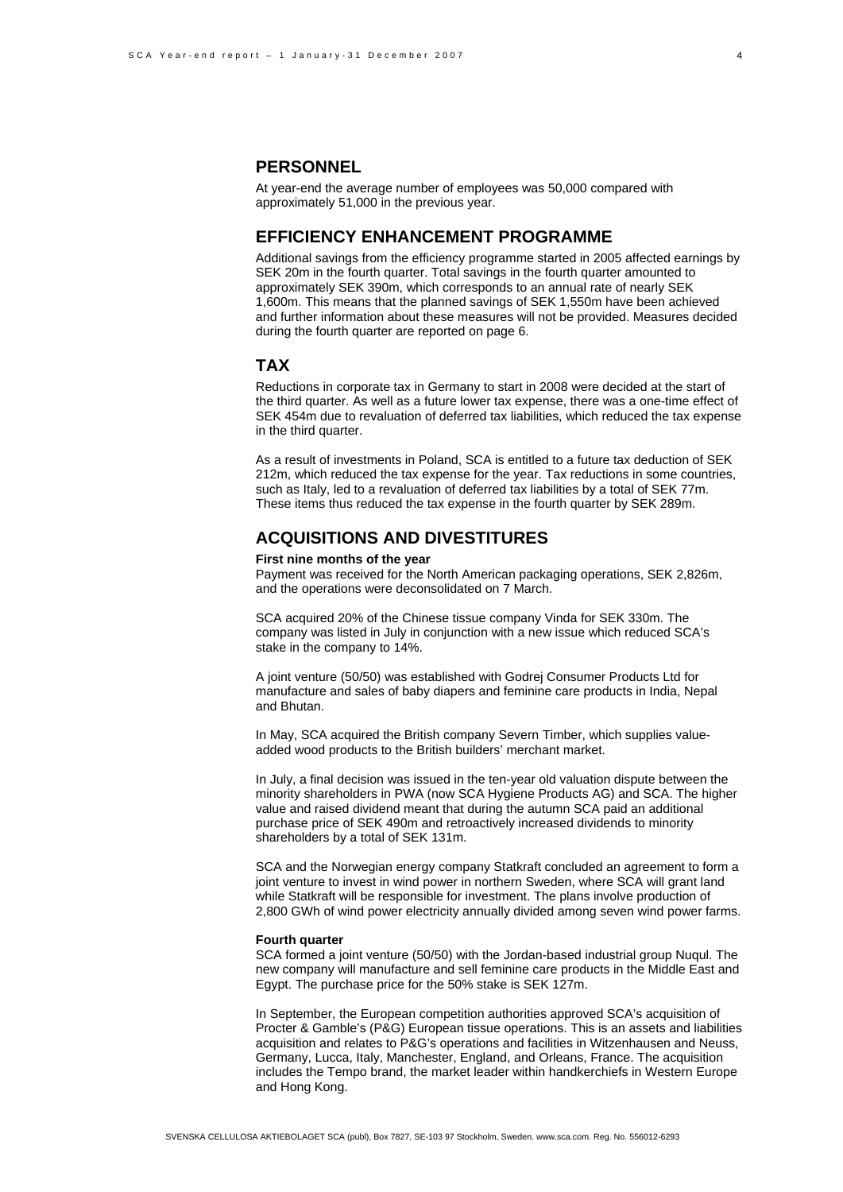### **PERSONNEL**

At year-end the average number of employees was 50,000 compared with approximately 51,000 in the previous year.

#### **EFFICIENCY ENHANCEMENT PROGRAMME**

Additional savings from the efficiency programme started in 2005 affected earnings by SEK 20m in the fourth quarter. Total savings in the fourth quarter amounted to approximately SEK 390m, which corresponds to an annual rate of nearly SEK 1,600m. This means that the planned savings of SEK 1,550m have been achieved and further information about these measures will not be provided. Measures decided during the fourth quarter are reported on page 6.

### **TAX**

Reductions in corporate tax in Germany to start in 2008 were decided at the start of the third quarter. As well as a future lower tax expense, there was a one-time effect of SEK 454m due to revaluation of deferred tax liabilities, which reduced the tax expense in the third quarter.

As a result of investments in Poland, SCA is entitled to a future tax deduction of SEK 212m, which reduced the tax expense for the year. Tax reductions in some countries, such as Italy, led to a revaluation of deferred tax liabilities by a total of SEK 77m. These items thus reduced the tax expense in the fourth quarter by SEK 289m.

### **ACQUISITIONS AND DIVESTITURES**

#### **First nine months of the year**

Payment was received for the North American packaging operations, SEK 2,826m, and the operations were deconsolidated on 7 March.

SCA acquired 20% of the Chinese tissue company Vinda for SEK 330m. The company was listed in July in conjunction with a new issue which reduced SCA's stake in the company to 14%.

A joint venture (50/50) was established with Godrej Consumer Products Ltd for manufacture and sales of baby diapers and feminine care products in India, Nepal and Bhutan.

In May, SCA acquired the British company Severn Timber, which supplies valueadded wood products to the British builders' merchant market.

In July, a final decision was issued in the ten-year old valuation dispute between the minority shareholders in PWA (now SCA Hygiene Products AG) and SCA. The higher value and raised dividend meant that during the autumn SCA paid an additional purchase price of SEK 490m and retroactively increased dividends to minority shareholders by a total of SEK 131m.

SCA and the Norwegian energy company Statkraft concluded an agreement to form a joint venture to invest in wind power in northern Sweden, where SCA will grant land while Statkraft will be responsible for investment. The plans involve production of 2,800 GWh of wind power electricity annually divided among seven wind power farms.

#### **Fourth quarter**

SCA formed a joint venture (50/50) with the Jordan-based industrial group Nuqul. The new company will manufacture and sell feminine care products in the Middle East and Egypt. The purchase price for the 50% stake is SEK 127m.

In September, the European competition authorities approved SCA's acquisition of Procter & Gamble's (P&G) European tissue operations. This is an assets and liabilities acquisition and relates to P&G's operations and facilities in Witzenhausen and Neuss, Germany, Lucca, Italy, Manchester, England, and Orleans, France. The acquisition includes the Tempo brand, the market leader within handkerchiefs in Western Europe and Hong Kong.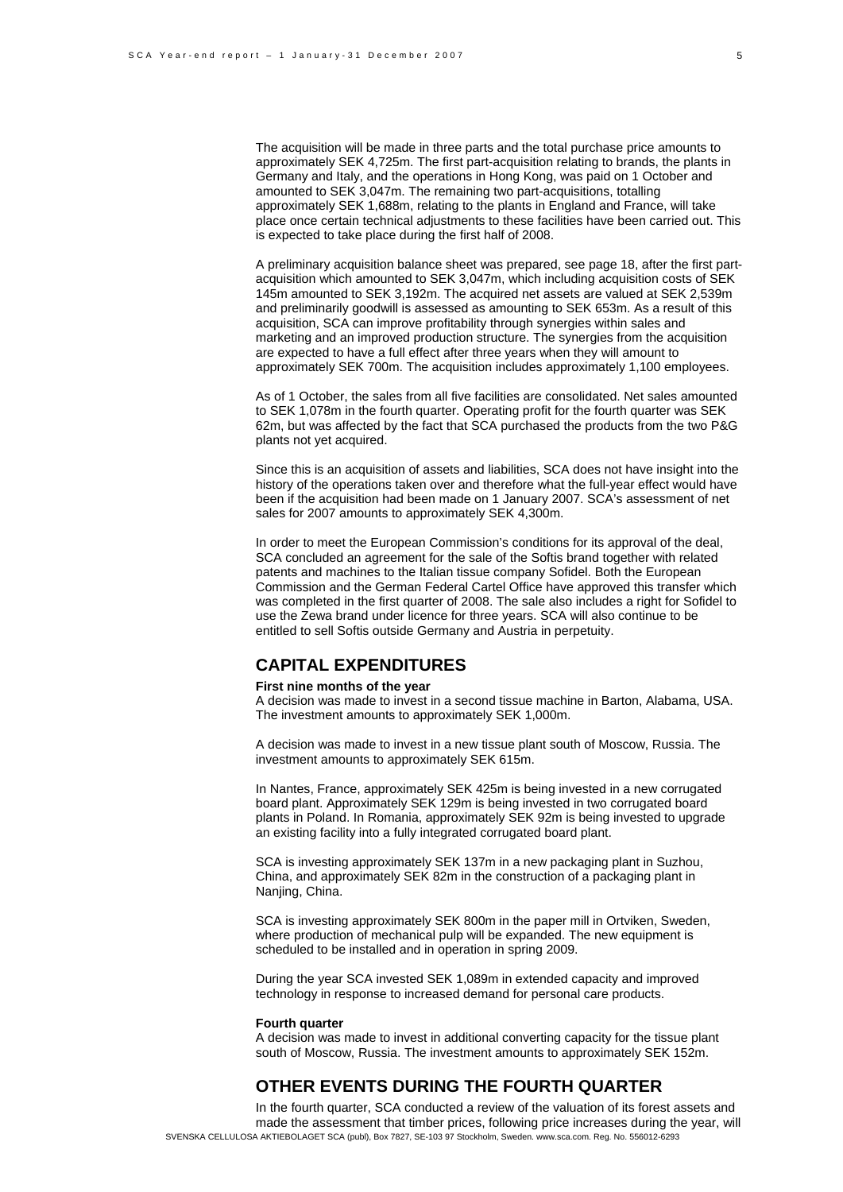The acquisition will be made in three parts and the total purchase price amounts to approximately SEK 4,725m. The first part-acquisition relating to brands, the plants in Germany and Italy, and the operations in Hong Kong, was paid on 1 October and amounted to SEK 3,047m. The remaining two part-acquisitions, totalling approximately SEK 1,688m, relating to the plants in England and France, will take place once certain technical adjustments to these facilities have been carried out. This is expected to take place during the first half of 2008.

A preliminary acquisition balance sheet was prepared, see page 18, after the first partacquisition which amounted to SEK 3,047m, which including acquisition costs of SEK 145m amounted to SEK 3,192m. The acquired net assets are valued at SEK 2,539m and preliminarily goodwill is assessed as amounting to SEK 653m. As a result of this acquisition, SCA can improve profitability through synergies within sales and marketing and an improved production structure. The synergies from the acquisition are expected to have a full effect after three years when they will amount to approximately SEK 700m. The acquisition includes approximately 1,100 employees.

As of 1 October, the sales from all five facilities are consolidated. Net sales amounted to SEK 1,078m in the fourth quarter. Operating profit for the fourth quarter was SEK 62m, but was affected by the fact that SCA purchased the products from the two P&G plants not yet acquired.

Since this is an acquisition of assets and liabilities, SCA does not have insight into the history of the operations taken over and therefore what the full-year effect would have been if the acquisition had been made on 1 January 2007. SCA's assessment of net sales for 2007 amounts to approximately SEK 4,300m.

In order to meet the European Commission's conditions for its approval of the deal, SCA concluded an agreement for the sale of the Softis brand together with related patents and machines to the Italian tissue company Sofidel. Both the European Commission and the German Federal Cartel Office have approved this transfer which was completed in the first quarter of 2008. The sale also includes a right for Sofidel to use the Zewa brand under licence for three years. SCA will also continue to be entitled to sell Softis outside Germany and Austria in perpetuity.

#### **CAPITAL EXPENDITURES**

#### **First nine months of the year**

A decision was made to invest in a second tissue machine in Barton, Alabama, USA. The investment amounts to approximately SEK 1,000m.

A decision was made to invest in a new tissue plant south of Moscow, Russia. The investment amounts to approximately SEK 615m.

In Nantes, France, approximately SEK 425m is being invested in a new corrugated board plant. Approximately SEK 129m is being invested in two corrugated board plants in Poland. In Romania, approximately SEK 92m is being invested to upgrade an existing facility into a fully integrated corrugated board plant.

SCA is investing approximately SEK 137m in a new packaging plant in Suzhou, China, and approximately SEK 82m in the construction of a packaging plant in Nanjing, China.

SCA is investing approximately SEK 800m in the paper mill in Ortviken, Sweden, where production of mechanical pulp will be expanded. The new equipment is scheduled to be installed and in operation in spring 2009.

During the year SCA invested SEK 1,089m in extended capacity and improved technology in response to increased demand for personal care products.

#### **Fourth quarter**

A decision was made to invest in additional converting capacity for the tissue plant south of Moscow, Russia. The investment amounts to approximately SEK 152m.

# **OTHER EVENTS DURING THE FOURTH QUARTER**

SVENSKA CELLULOSA AKTIEBOLAGET SCA (publ), Box 7827, SE-103 97 Stockholm, Sweden. www.sca.com. Reg. No. 556012-6293 In the fourth quarter, SCA conducted a review of the valuation of its forest assets and made the assessment that timber prices, following price increases during the year, will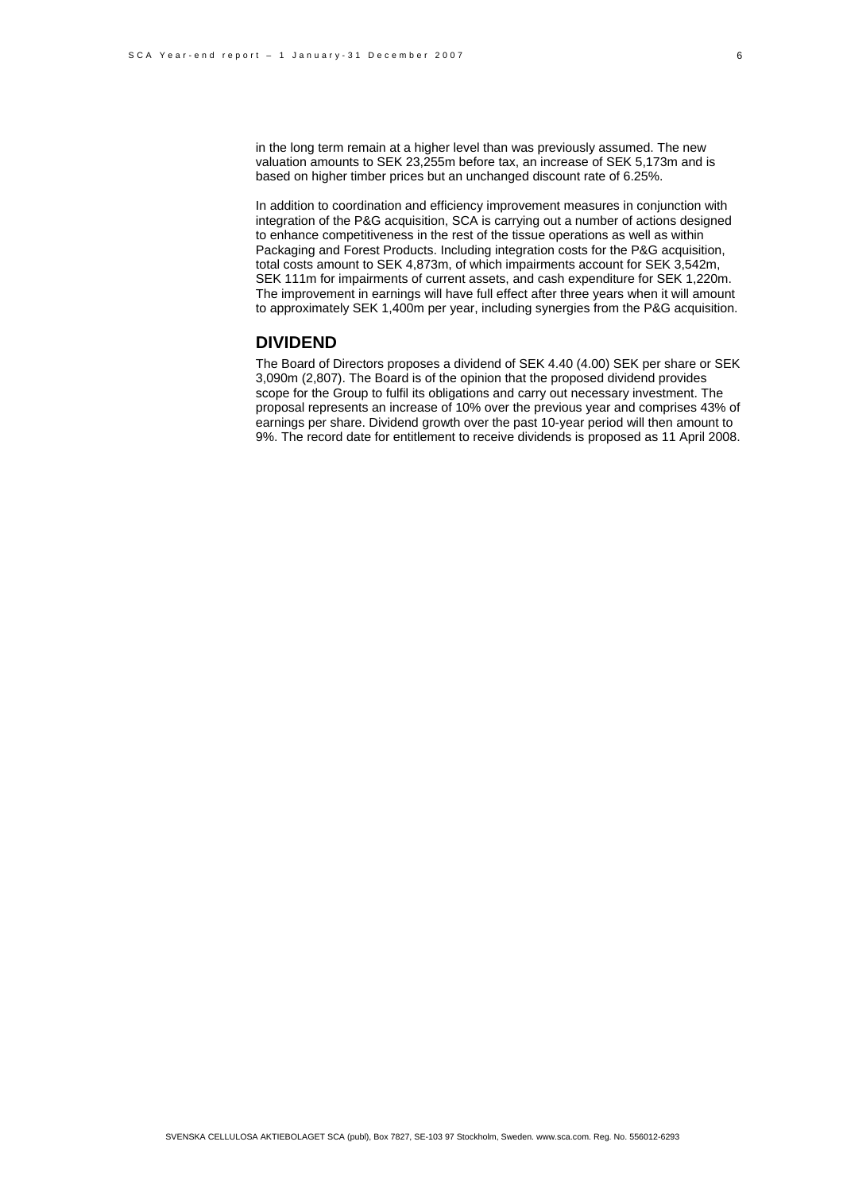in the long term remain at a higher level than was previously assumed. The new valuation amounts to SEK 23,255m before tax, an increase of SEK 5,173m and is based on higher timber prices but an unchanged discount rate of 6.25%.

In addition to coordination and efficiency improvement measures in conjunction with integration of the P&G acquisition, SCA is carrying out a number of actions designed to enhance competitiveness in the rest of the tissue operations as well as within Packaging and Forest Products. Including integration costs for the P&G acquisition, total costs amount to SEK 4,873m, of which impairments account for SEK 3,542m, SEK 111m for impairments of current assets, and cash expenditure for SEK 1,220m. The improvement in earnings will have full effect after three years when it will amount to approximately SEK 1,400m per year, including synergies from the P&G acquisition.

#### **DIVIDEND**

The Board of Directors proposes a dividend of SEK 4.40 (4.00) SEK per share or SEK 3,090m (2,807). The Board is of the opinion that the proposed dividend provides scope for the Group to fulfil its obligations and carry out necessary investment. The proposal represents an increase of 10% over the previous year and comprises 43% of earnings per share. Dividend growth over the past 10-year period will then amount to 9%. The record date for entitlement to receive dividends is proposed as 11 April 2008.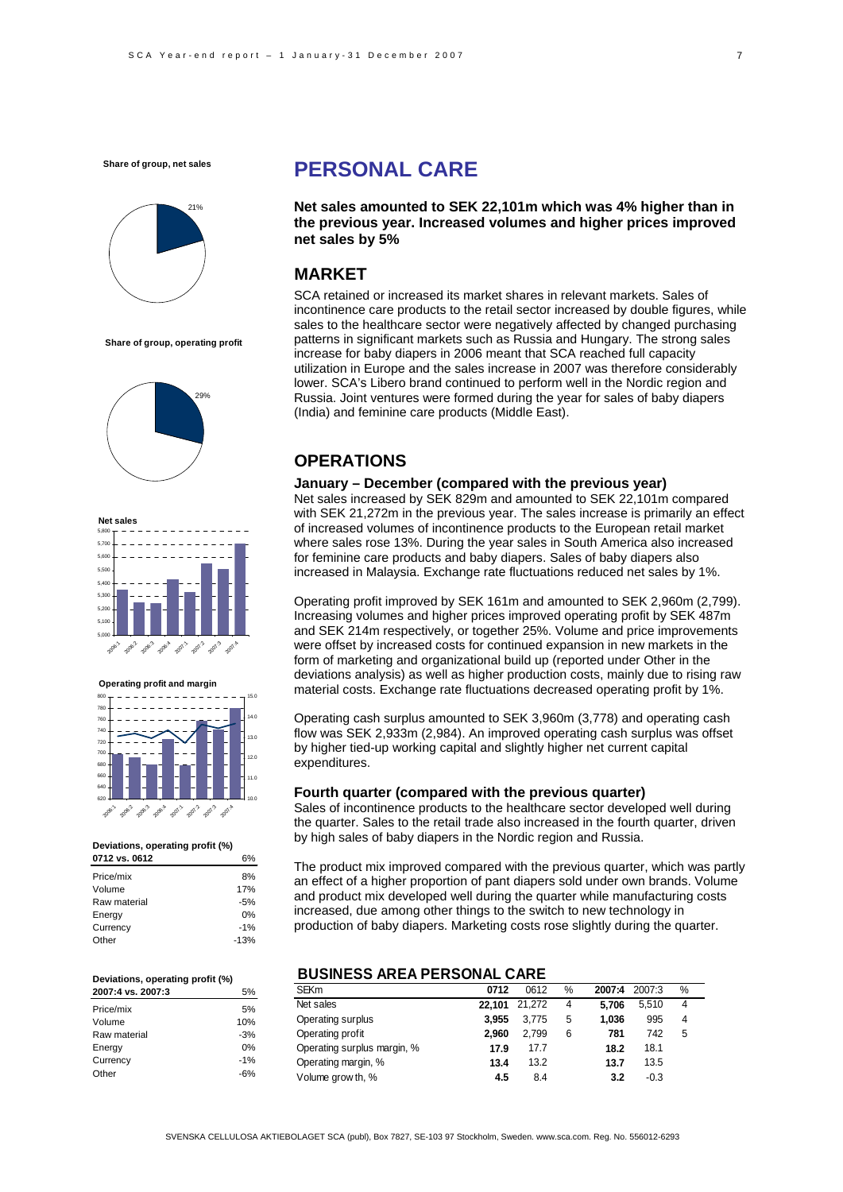

**Share of group, operating profit**





**Operating profit and margin**



#### **Deviations, operating profit (%)**

| 0712 vs. 0612 |        |
|---------------|--------|
| Price/mix     | 8%     |
| Volume        | 17%    |
| Raw material  | $-5%$  |
| Energy        | 0%     |
| Currency      | $-1%$  |
| Other         | $-13%$ |
|               |        |

#### **Deviations, operating profit (%) 2007:4 vs. 2007:3** 5%

| 2007.4 VS. 2007.3 | J 70  |
|-------------------|-------|
| Price/mix         | 5%    |
| Volume            | 10%   |
| Raw material      | $-3%$ |
| Energy            | 0%    |
| Currency          | $-1%$ |
| Other             | $-6%$ |

# **PERSONAL CARE**

**Net sales amounted to SEK 22,101m which was 4% higher than in the previous year. Increased volumes and higher prices improved net sales by 5%** 

### **MARKET**

SCA retained or increased its market shares in relevant markets. Sales of incontinence care products to the retail sector increased by double figures, while sales to the healthcare sector were negatively affected by changed purchasing patterns in significant markets such as Russia and Hungary. The strong sales increase for baby diapers in 2006 meant that SCA reached full capacity utilization in Europe and the sales increase in 2007 was therefore considerably lower. SCA's Libero brand continued to perform well in the Nordic region and Russia. Joint ventures were formed during the year for sales of baby diapers (India) and feminine care products (Middle East).

### **OPERATIONS**

#### **January – December (compared with the previous year)**

Net sales increased by SEK 829m and amounted to SEK 22,101m compared with SEK 21,272m in the previous year. The sales increase is primarily an effect of increased volumes of incontinence products to the European retail market where sales rose 13%. During the year sales in South America also increased for feminine care products and baby diapers. Sales of baby diapers also increased in Malaysia. Exchange rate fluctuations reduced net sales by 1%.

Operating profit improved by SEK 161m and amounted to SEK 2,960m (2,799). Increasing volumes and higher prices improved operating profit by SEK 487m and SEK 214m respectively, or together 25%. Volume and price improvements were offset by increased costs for continued expansion in new markets in the form of marketing and organizational build up (reported under Other in the deviations analysis) as well as higher production costs, mainly due to rising raw material costs. Exchange rate fluctuations decreased operating profit by 1%.

Operating cash surplus amounted to SEK 3,960m (3,778) and operating cash flow was SEK 2,933m (2,984). An improved operating cash surplus was offset by higher tied-up working capital and slightly higher net current capital expenditures.

#### **Fourth quarter (compared with the previous quarter)**

Sales of incontinence products to the healthcare sector developed well during the quarter. Sales to the retail trade also increased in the fourth quarter, driven by high sales of baby diapers in the Nordic region and Russia.

The product mix improved compared with the previous quarter, which was partly an effect of a higher proportion of pant diapers sold under own brands. Volume and product mix developed well during the quarter while manufacturing costs increased, due among other things to the switch to new technology in production of baby diapers. Marketing costs rose slightly during the quarter.

#### **BUSINESS AREA PERSONAL CARE**

| <b>SEKm</b>                 | 0712   | 0612   | % | 2007:4 | 2007:3 | % |
|-----------------------------|--------|--------|---|--------|--------|---|
| Net sales                   | 22.101 | 21.272 | 4 | 5.706  | 5.510  | 4 |
| Operating surplus           | 3.955  | 3.775  | 5 | 1.036  | 995    | 4 |
| Operating profit            | 2.960  | 2.799  | 6 | 781    | 742    | 5 |
| Operating surplus margin, % | 17.9   | 17.7   |   | 18.2   | 18.1   |   |
| Operating margin, %         | 13.4   | 13.2   |   | 13.7   | 13.5   |   |
| Volume grow th, %           | 4.5    | 8.4    |   | 3.2    | $-0.3$ |   |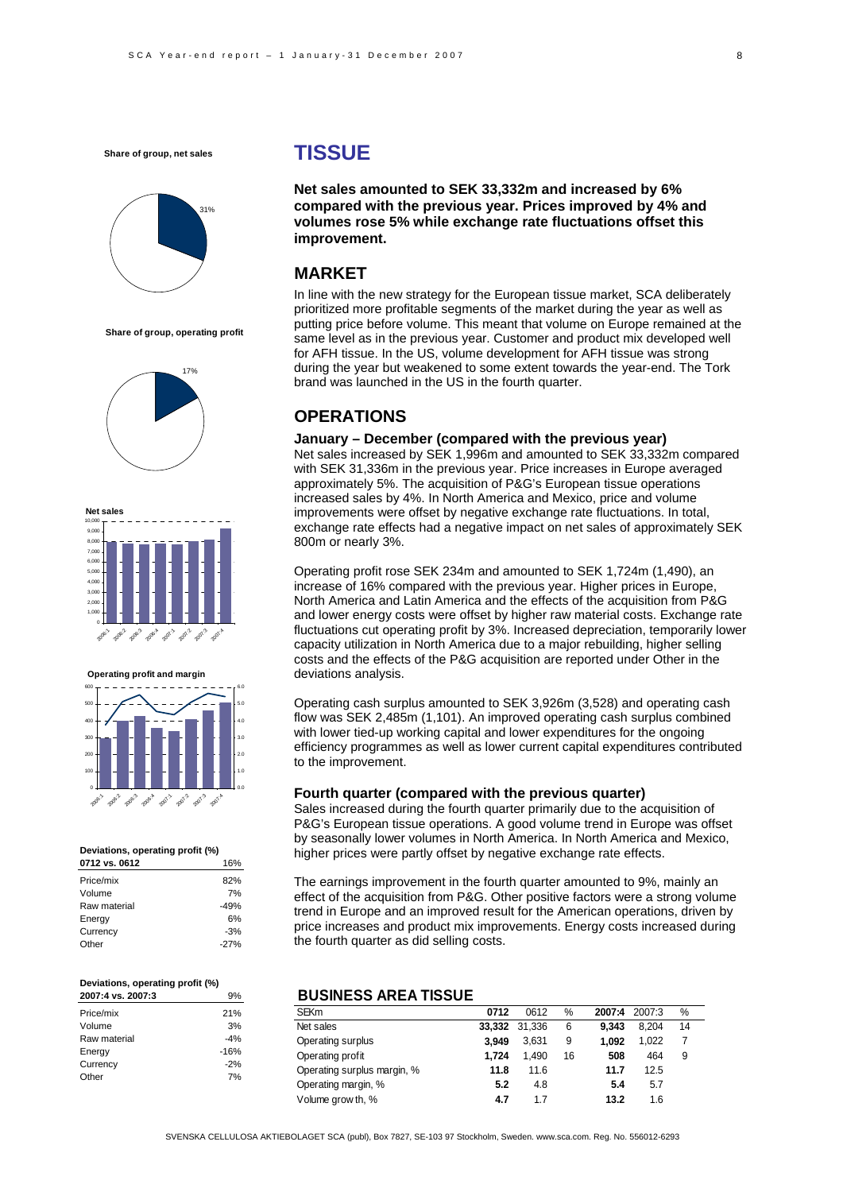**Share of group, net sales**



**Share of group, operating profit**





**Operating profit and margin** 600



### **Deviations, operating profit (%)**

| 0712 vs. 0612 | 16%    |
|---------------|--------|
| Price/mix     | 82%    |
| Volume        | 7%     |
| Raw material  | $-49%$ |
| Energy        | 6%     |
| Currency      | $-3%$  |
| Other         | $-27%$ |
|               |        |

#### **Deviations, operating profit (%) 2007:4 vs. 2007:3** 9%

| ັ້     |
|--------|
| 21%    |
| 3%     |
| $-4%$  |
| $-16%$ |
| $-2%$  |
| 7%     |
|        |

# **TISSUE**

**Net sales amounted to SEK 33,332m and increased by 6% compared with the previous year. Prices improved by 4% and volumes rose 5% while exchange rate fluctuations offset this improvement.** 

### **MARKET**

In line with the new strategy for the European tissue market, SCA deliberately prioritized more profitable segments of the market during the year as well as putting price before volume. This meant that volume on Europe remained at the same level as in the previous year. Customer and product mix developed well for AFH tissue. In the US, volume development for AFH tissue was strong during the year but weakened to some extent towards the year-end. The Tork brand was launched in the US in the fourth quarter.

#### **OPERATIONS**

#### **January – December (compared with the previous year)**

Net sales increased by SEK 1,996m and amounted to SEK 33,332m compared with SEK 31,336m in the previous year. Price increases in Europe averaged approximately 5%. The acquisition of P&G's European tissue operations increased sales by 4%. In North America and Mexico, price and volume improvements were offset by negative exchange rate fluctuations. In total, exchange rate effects had a negative impact on net sales of approximately SEK 800m or nearly 3%.

Operating profit rose SEK 234m and amounted to SEK 1,724m (1,490), an increase of 16% compared with the previous year. Higher prices in Europe, North America and Latin America and the effects of the acquisition from P&G and lower energy costs were offset by higher raw material costs. Exchange rate fluctuations cut operating profit by 3%. Increased depreciation, temporarily lower capacity utilization in North America due to a major rebuilding, higher selling costs and the effects of the P&G acquisition are reported under Other in the deviations analysis.

Operating cash surplus amounted to SEK 3,926m (3,528) and operating cash flow was SEK 2,485m (1,101). An improved operating cash surplus combined with lower tied-up working capital and lower expenditures for the ongoing efficiency programmes as well as lower current capital expenditures contributed to the improvement.

#### **Fourth quarter (compared with the previous quarter)**

Sales increased during the fourth quarter primarily due to the acquisition of P&G's European tissue operations. A good volume trend in Europe was offset by seasonally lower volumes in North America. In North America and Mexico, higher prices were partly offset by negative exchange rate effects.

The earnings improvement in the fourth quarter amounted to 9%, mainly an effect of the acquisition from P&G. Other positive factors were a strong volume trend in Europe and an improved result for the American operations, driven by price increases and product mix improvements. Energy costs increased during the fourth quarter as did selling costs.

#### **BUSINESS AREA TISSUE**

| <b>SEKm</b>                 | 0712  | 0612          | %  | 2007:4 | 2007:3 | %  |  |
|-----------------------------|-------|---------------|----|--------|--------|----|--|
| Net sales                   |       | 33,332 31,336 | 6  | 9.343  | 8.204  | 14 |  |
| Operating surplus           | 3.949 | 3.631         | 9  | 1.092  | 1.022  |    |  |
| Operating profit            | 1.724 | 1.490         | 16 | 508    | 464    | 9  |  |
| Operating surplus margin, % | 11.8  | 11.6          |    | 11.7   | 12.5   |    |  |
| Operating margin, %         | 5.2   | 4.8           |    | 5.4    | 5.7    |    |  |
| Volume grow th, %           | 4.7   | 1.7           |    | 13.2   | 1.6    |    |  |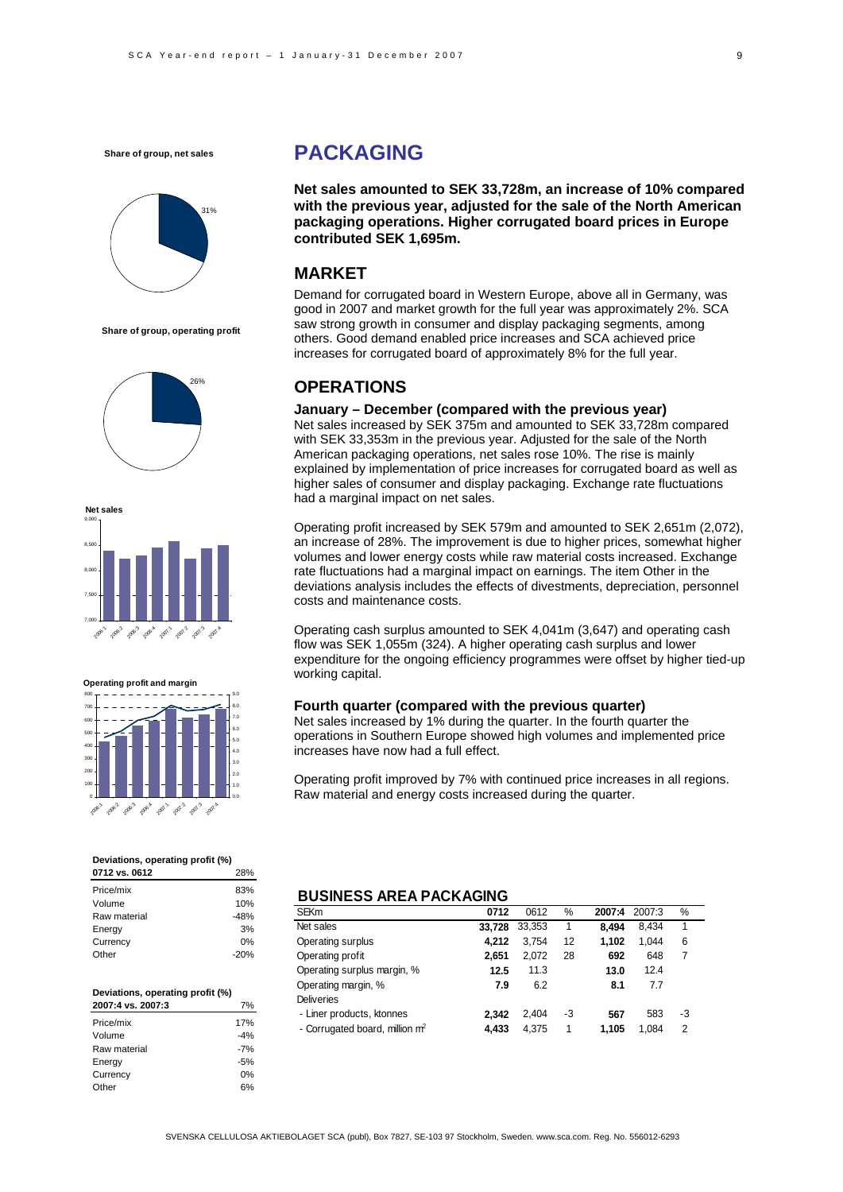**Share of group, net sales**



**Share of group, operating profit**







#### **Deviations, operating profit (%)**

| 0712 vs. 0612 | 28%    |
|---------------|--------|
| Price/mix     | 83%    |
| Volume        | 10%    |
| Raw material  | $-48%$ |
| Energy        | 3%     |
| Currency      | 0%     |
| Other         | $-20%$ |

| Deviations, operating profit (%) |       |  |  |  |
|----------------------------------|-------|--|--|--|
| 2007:4 vs. 2007:3                | 7%    |  |  |  |
| Price/mix                        | 17%   |  |  |  |
| Volume                           | $-4%$ |  |  |  |
| Raw material                     | $-7%$ |  |  |  |
| Energy                           | $-5%$ |  |  |  |
| Currency                         | 0%    |  |  |  |
| Other                            |       |  |  |  |

# **PACKAGING**

**Net sales amounted to SEK 33,728m, an increase of 10% compared with the previous year, adjusted for the sale of the North American packaging operations. Higher corrugated board prices in Europe contributed SEK 1,695m.** 

### **MARKET**

Demand for corrugated board in Western Europe, above all in Germany, was good in 2007 and market growth for the full year was approximately 2%. SCA saw strong growth in consumer and display packaging segments, among others. Good demand enabled price increases and SCA achieved price increases for corrugated board of approximately 8% for the full year.

### **OPERATIONS**

#### **January – December (compared with the previous year)**

Net sales increased by SEK 375m and amounted to SEK 33,728m compared with SEK 33,353m in the previous year. Adjusted for the sale of the North American packaging operations, net sales rose 10%. The rise is mainly explained by implementation of price increases for corrugated board as well as higher sales of consumer and display packaging. Exchange rate fluctuations had a marginal impact on net sales.

Operating profit increased by SEK 579m and amounted to SEK 2,651m (2,072), an increase of 28%. The improvement is due to higher prices, somewhat higher volumes and lower energy costs while raw material costs increased. Exchange rate fluctuations had a marginal impact on earnings. The item Other in the deviations analysis includes the effects of divestments, depreciation, personnel costs and maintenance costs.

Operating cash surplus amounted to SEK 4,041m (3,647) and operating cash flow was SEK 1,055m (324). A higher operating cash surplus and lower expenditure for the ongoing efficiency programmes were offset by higher tied-up working capital.

#### **Fourth quarter (compared with the previous quarter)**

Net sales increased by 1% during the quarter. In the fourth quarter the operations in Southern Europe showed high volumes and implemented price increases have now had a full effect.

Operating profit improved by 7% with continued price increases in all regions. Raw material and energy costs increased during the quarter.

#### **BUSINESS AREA PACKAGING**

| <b>SEKm</b>                                | 0712   | 0612   | %  | 2007:4 | 2007:3 | ℅  |
|--------------------------------------------|--------|--------|----|--------|--------|----|
| Net sales                                  | 33,728 | 33,353 | 1  | 8.494  | 8.434  | 1  |
| Operating surplus                          | 4.212  | 3.754  | 12 | 1.102  | 1.044  | 6  |
| Operating profit                           | 2.651  | 2,072  | 28 | 692    | 648    |    |
| Operating surplus margin, %                | 12.5   | 11.3   |    | 13.0   | 12.4   |    |
| Operating margin, %                        | 7.9    | 6.2    |    | 8.1    | 7.7    |    |
| <b>Deliveries</b>                          |        |        |    |        |        |    |
| - Liner products, ktonnes                  | 2.342  | 2.404  | -3 | 567    | 583    | -3 |
| - Corrugated board, million m <sup>2</sup> | 4.433  | 4,375  | 1  | 1.105  | 1.084  | 2  |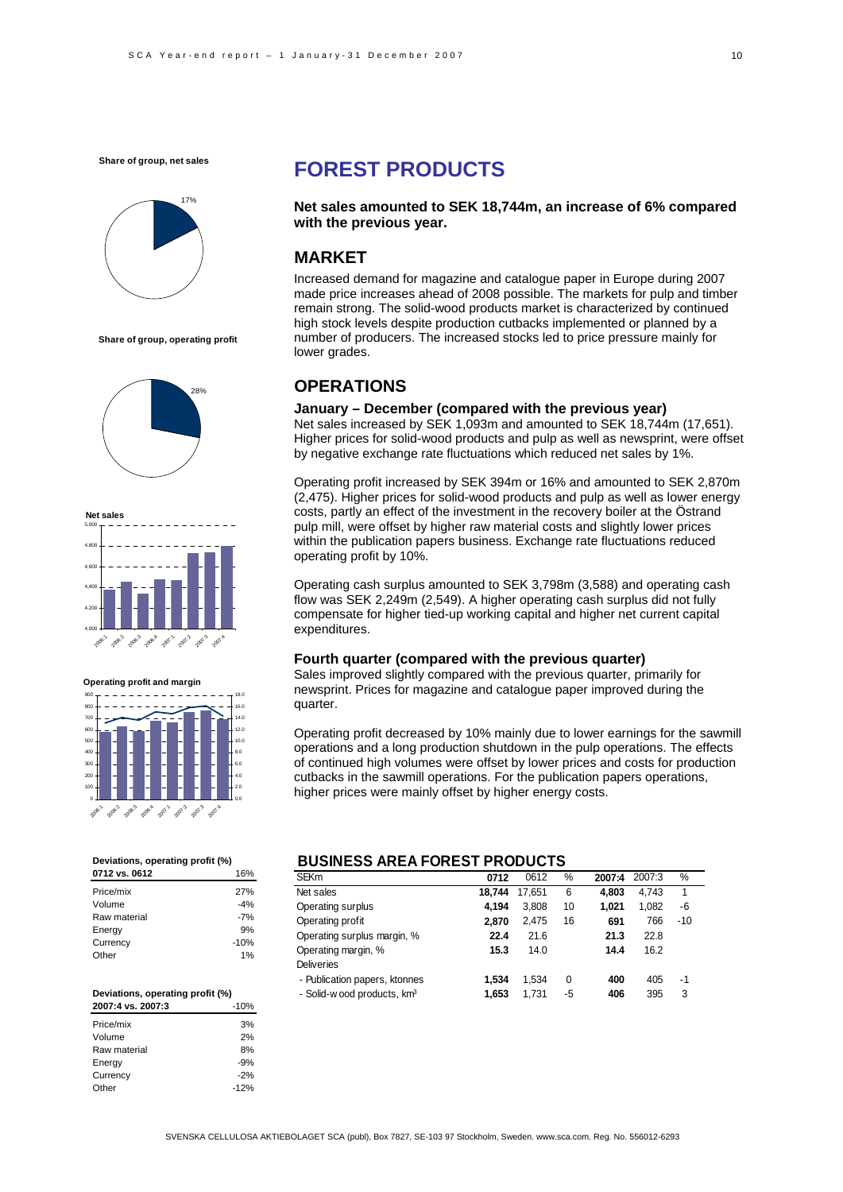**Share of group, net sales**



**Share of group, operating profit**





**Operating profit and margin**

| 900    |        |        |        |        |        |        |        | 18.0 |
|--------|--------|--------|--------|--------|--------|--------|--------|------|
| 800    |        |        |        |        |        |        |        | 16.0 |
| 700    |        |        |        |        |        |        |        | 14.0 |
| 600    |        |        |        |        |        |        |        | 12.0 |
| 500    |        |        |        |        |        |        |        | 10.0 |
| 400    |        |        |        |        |        |        |        | 8.0  |
| 300    |        |        |        |        |        |        |        | 6.0  |
| 200    |        |        |        |        |        |        |        | 4.0  |
| 100    |        |        |        |        |        |        |        | 2.0  |
| 0      |        |        |        |        |        |        |        | 0.0  |
| 2006.1 | 2006-2 | 2006.3 | 2006.4 | 2007.1 | 2007.2 | 2007.3 | 2007.4 |      |

#### **Deviations, operating profit (%)**

| 0712 vs. 0612 | 16%    |
|---------------|--------|
| Price/mix     | 27%    |
| Volume        | $-4%$  |
| Raw material  | $-7%$  |
| Energy        | 9%     |
| Currency      | $-10%$ |
| Other         | 1%     |

| Deviations, operating profit (%) |        |  |  |  |  |
|----------------------------------|--------|--|--|--|--|
| 2007:4 vs. 2007:3                | $-10%$ |  |  |  |  |
| Price/mix                        | 3%     |  |  |  |  |
| Volume                           | 2%     |  |  |  |  |
| Raw material                     | 8%     |  |  |  |  |
| Energy                           | $-9%$  |  |  |  |  |
| Currency                         | $-2%$  |  |  |  |  |
| Other                            | $-12%$ |  |  |  |  |

# **FOREST PRODUCTS**

**Net sales amounted to SEK 18,744m, an increase of 6% compared with the previous year.** 

### **MARKET**

Increased demand for magazine and catalogue paper in Europe during 2007 made price increases ahead of 2008 possible. The markets for pulp and timber remain strong. The solid-wood products market is characterized by continued high stock levels despite production cutbacks implemented or planned by a number of producers. The increased stocks led to price pressure mainly for lower grades.

# **OPERATIONS**

#### **January – December (compared with the previous year)**

Net sales increased by SEK 1,093m and amounted to SEK 18,744m (17,651). Higher prices for solid-wood products and pulp as well as newsprint, were offset by negative exchange rate fluctuations which reduced net sales by 1%.

Operating profit increased by SEK 394m or 16% and amounted to SEK 2,870m (2,475). Higher prices for solid-wood products and pulp as well as lower energy costs, partly an effect of the investment in the recovery boiler at the Östrand pulp mill, were offset by higher raw material costs and slightly lower prices within the publication papers business. Exchange rate fluctuations reduced operating profit by 10%.

Operating cash surplus amounted to SEK 3,798m (3,588) and operating cash flow was SEK 2,249m (2,549). A higher operating cash surplus did not fully compensate for higher tied-up working capital and higher net current capital expenditures.

#### **Fourth quarter (compared with the previous quarter)**

Sales improved slightly compared with the previous quarter, primarily for newsprint. Prices for magazine and catalogue paper improved during the quarter.

Operating profit decreased by 10% mainly due to lower earnings for the sawmill operations and a long production shutdown in the pulp operations. The effects of continued high volumes were offset by lower prices and costs for production cutbacks in the sawmill operations. For the publication papers operations, higher prices were mainly offset by higher energy costs.

### **BUSINESS AREA FOREST PRODUCTS**

| <b>SEKm</b>                             | 0712   | 0612   | %  | 2007:4 | 2007:3 | %     |
|-----------------------------------------|--------|--------|----|--------|--------|-------|
| Net sales                               | 18.744 | 17.651 | 6  | 4.803  | 4.743  | 1     |
| Operating surplus                       | 4.194  | 3.808  | 10 | 1.021  | 1.082  | -6    |
| Operating profit                        | 2.870  | 2.475  | 16 | 691    | 766    | $-10$ |
| Operating surplus margin, %             | 22.4   | 21.6   |    | 21.3   | 22.8   |       |
| Operating margin, %                     | 15.3   | 14.0   |    | 14.4   | 16.2   |       |
| <b>Deliveries</b>                       |        |        |    |        |        |       |
| - Publication papers, ktonnes           | 1.534  | 1.534  | 0  | 400    | 405    | -1    |
| - Solid-w ood products, km <sup>3</sup> | 1.653  | 1.731  | -5 | 406    | 395    | 3     |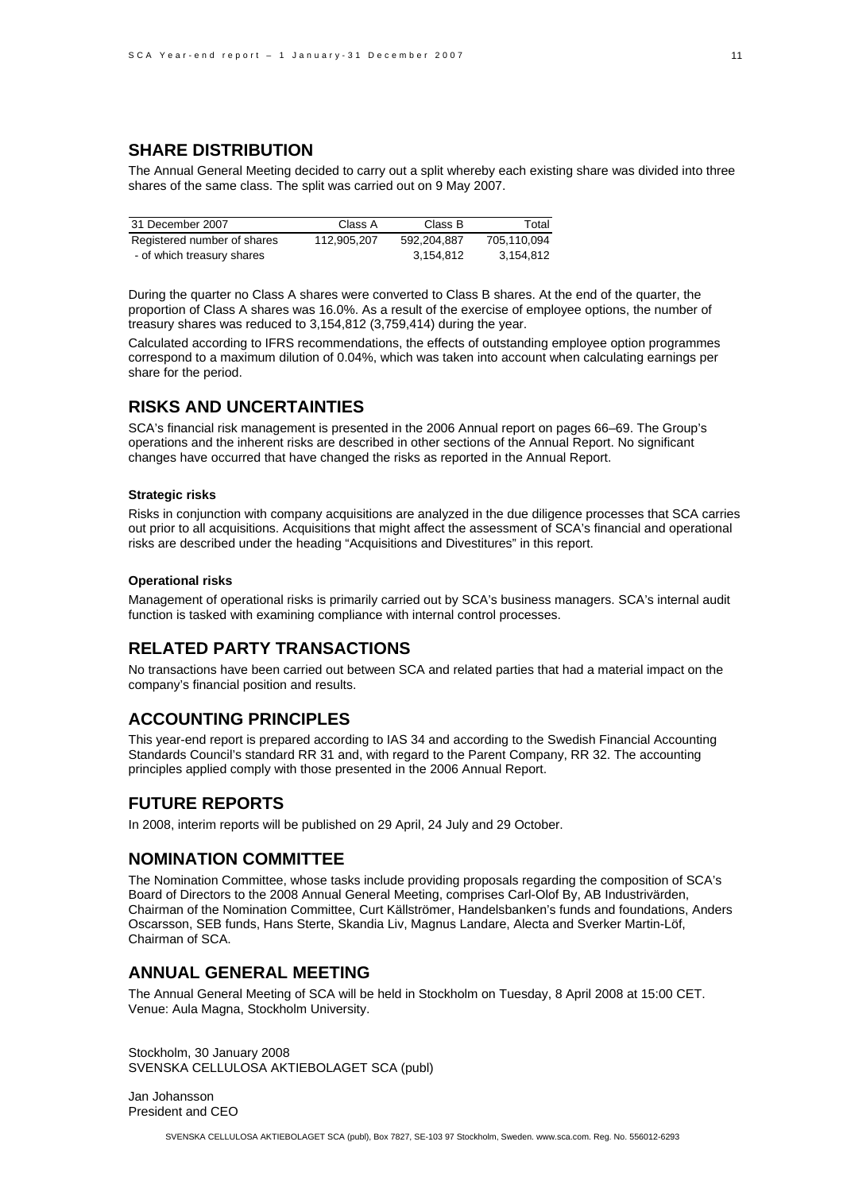### **SHARE DISTRIBUTION**

The Annual General Meeting decided to carry out a split whereby each existing share was divided into three shares of the same class. The split was carried out on 9 May 2007.

| 31 December 2007            | Class A     | Class B     | Total       |
|-----------------------------|-------------|-------------|-------------|
| Registered number of shares | 112.905.207 | 592.204.887 | 705.110.094 |
| - of which treasury shares  |             | 3.154.812   | 3.154.812   |

During the quarter no Class A shares were converted to Class B shares. At the end of the quarter, the proportion of Class A shares was 16.0%. As a result of the exercise of employee options, the number of treasury shares was reduced to 3,154,812 (3,759,414) during the year.

Calculated according to IFRS recommendations, the effects of outstanding employee option programmes correspond to a maximum dilution of 0.04%, which was taken into account when calculating earnings per share for the period.

### **RISKS AND UNCERTAINTIES**

SCA's financial risk management is presented in the 2006 Annual report on pages 66–69. The Group's operations and the inherent risks are described in other sections of the Annual Report. No significant changes have occurred that have changed the risks as reported in the Annual Report.

#### **Strategic risks**

Risks in conjunction with company acquisitions are analyzed in the due diligence processes that SCA carries out prior to all acquisitions. Acquisitions that might affect the assessment of SCA's financial and operational risks are described under the heading "Acquisitions and Divestitures" in this report.

#### **Operational risks**

Management of operational risks is primarily carried out by SCA's business managers. SCA's internal audit function is tasked with examining compliance with internal control processes.

# **RELATED PARTY TRANSACTIONS**

No transactions have been carried out between SCA and related parties that had a material impact on the company's financial position and results.

### **ACCOUNTING PRINCIPLES**

This year-end report is prepared according to IAS 34 and according to the Swedish Financial Accounting Standards Council's standard RR 31 and, with regard to the Parent Company, RR 32. The accounting principles applied comply with those presented in the 2006 Annual Report.

### **FUTURE REPORTS**

In 2008, interim reports will be published on 29 April, 24 July and 29 October.

#### **NOMINATION COMMITTEE**

The Nomination Committee, whose tasks include providing proposals regarding the composition of SCA's Board of Directors to the 2008 Annual General Meeting, comprises Carl-Olof By, AB Industrivärden, Chairman of the Nomination Committee, Curt Källströmer, Handelsbanken's funds and foundations, Anders Oscarsson, SEB funds, Hans Sterte, Skandia Liv, Magnus Landare, Alecta and Sverker Martin-Löf, Chairman of SCA.

### **ANNUAL GENERAL MEETING**

The Annual General Meeting of SCA will be held in Stockholm on Tuesday, 8 April 2008 at 15:00 CET. Venue: Aula Magna, Stockholm University.

Stockholm, 30 January 2008 SVENSKA CELLULOSA AKTIEBOLAGET SCA (publ)

Jan Johansson President and CEO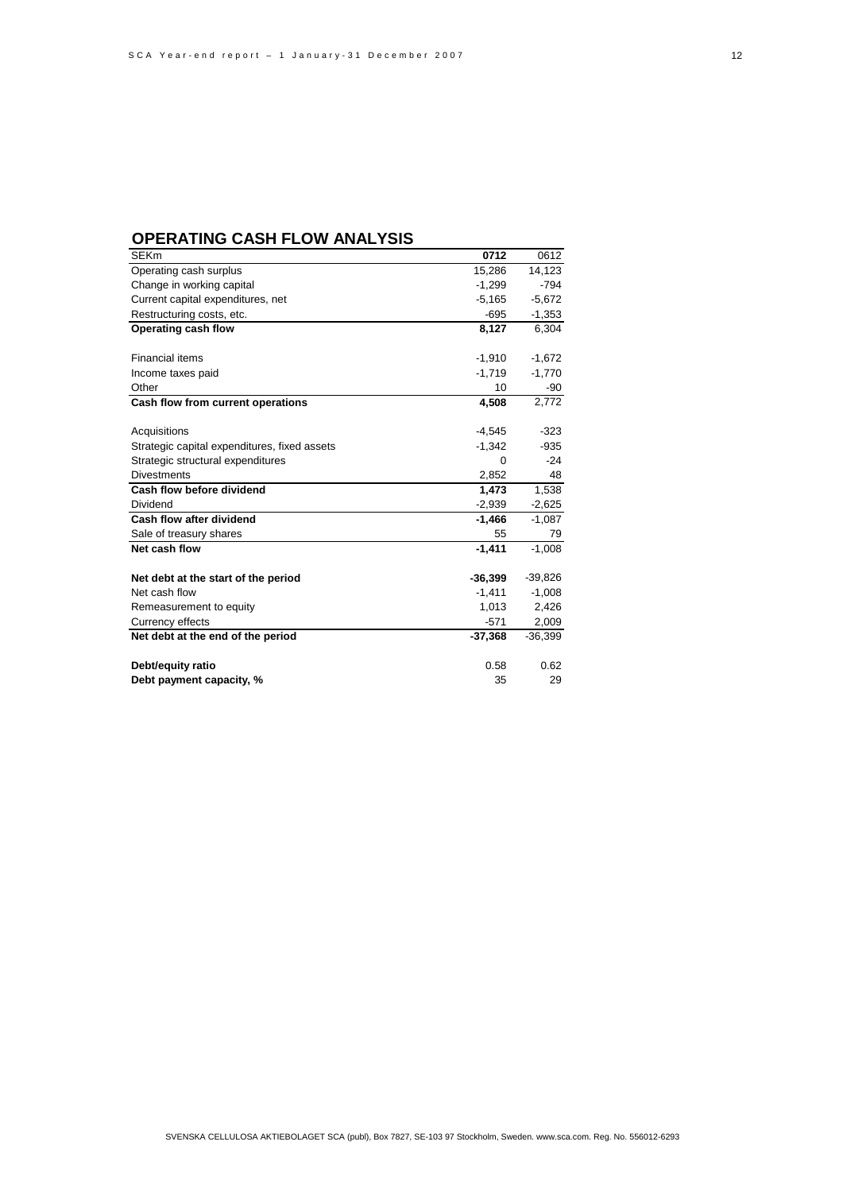### **OPERATING CASH FLOW ANALYSIS**

| <b>SEKm</b>                                  | 0712      | 0612      |
|----------------------------------------------|-----------|-----------|
| Operating cash surplus                       | 15,286    | 14,123    |
| Change in working capital                    | $-1,299$  | $-794$    |
| Current capital expenditures, net            | $-5,165$  | $-5,672$  |
| Restructuring costs, etc.                    | $-695$    | $-1,353$  |
| Operating cash flow                          | 8,127     | 6,304     |
|                                              |           |           |
| <b>Financial items</b>                       | $-1,910$  | $-1,672$  |
| Income taxes paid                            | $-1,719$  | $-1,770$  |
| Other                                        | 10        | -90       |
| Cash flow from current operations            | 4,508     | 2,772     |
|                                              |           |           |
| Acquisitions                                 | $-4,545$  | $-323$    |
| Strategic capital expenditures, fixed assets | $-1,342$  | $-935$    |
| Strategic structural expenditures            | $\Omega$  | $-24$     |
| <b>Divestments</b>                           | 2,852     | 48        |
| Cash flow before dividend                    | 1.473     | 1,538     |
| Dividend                                     | $-2,939$  | $-2,625$  |
| Cash flow after dividend                     | $-1,466$  | $-1,087$  |
| Sale of treasury shares                      | 55        | 79        |
| Net cash flow                                | $-1,411$  | $-1,008$  |
|                                              |           |           |
| Net debt at the start of the period          | $-36,399$ | $-39,826$ |
| Net cash flow                                | $-1,411$  | $-1,008$  |
| Remeasurement to equity                      | 1,013     | 2,426     |
| Currency effects                             | $-571$    | 2,009     |
| Net debt at the end of the period            | $-37,368$ | $-36,399$ |
|                                              |           |           |
| Debt/equity ratio                            | 0.58      | 0.62      |
| Debt payment capacity, %                     | 35        | 29        |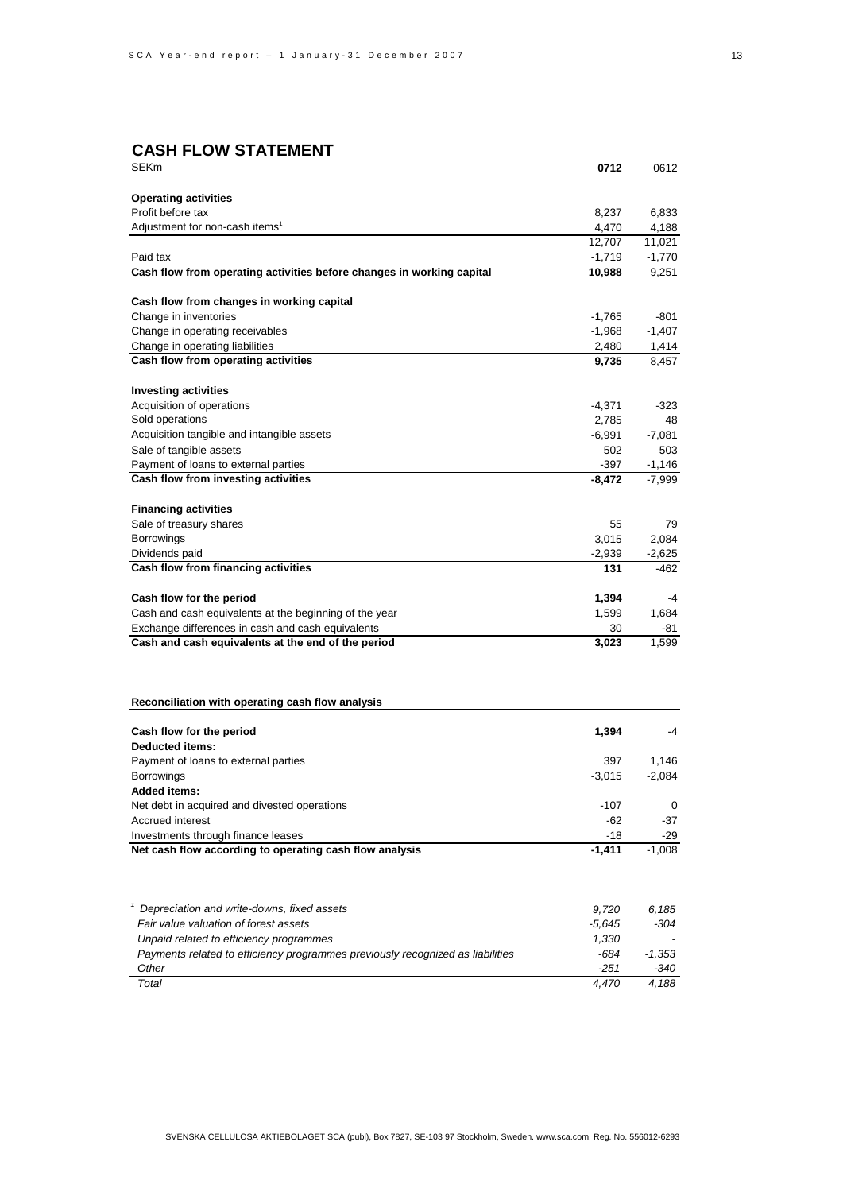# **CASH FLOW STATEMENT**

| SEKm                                                                           | 0712               | 0612             |
|--------------------------------------------------------------------------------|--------------------|------------------|
|                                                                                |                    |                  |
| <b>Operating activities</b>                                                    |                    |                  |
| Profit before tax                                                              | 8,237              | 6,833            |
| Adjustment for non-cash items <sup>1</sup>                                     | 4,470              | 4,188<br>11,021  |
| Paid tax                                                                       | 12,707<br>$-1,719$ | $-1,770$         |
| Cash flow from operating activities before changes in working capital          | 10,988             | 9,251            |
|                                                                                |                    |                  |
| Cash flow from changes in working capital                                      |                    |                  |
| Change in inventories                                                          | $-1,765$           | -801             |
| Change in operating receivables                                                | $-1,968$           | $-1,407$         |
| Change in operating liabilities                                                | 2,480              | 1,414            |
| Cash flow from operating activities                                            | 9,735              | 8,457            |
| <b>Investing activities</b>                                                    |                    |                  |
| Acquisition of operations                                                      | -4,371             | -323             |
| Sold operations                                                                | 2,785              | 48               |
| Acquisition tangible and intangible assets                                     | $-6,991$           | $-7,081$         |
| Sale of tangible assets                                                        | 502                | 503              |
| Payment of loans to external parties                                           | -397               | $-1,146$         |
| Cash flow from investing activities                                            | $-8,472$           | $-7,999$         |
|                                                                                |                    |                  |
| <b>Financing activities</b>                                                    |                    |                  |
| Sale of treasury shares                                                        | 55                 | 79               |
| Borrowings                                                                     | 3,015              | 2,084            |
| Dividends paid<br>Cash flow from financing activities                          | $-2,939$<br>131    | $-2,625$<br>-462 |
|                                                                                |                    |                  |
| Cash flow for the period                                                       | 1,394              | -4               |
| Cash and cash equivalents at the beginning of the year                         | 1,599              | 1,684            |
| Exchange differences in cash and cash equivalents                              | 30                 | -81              |
| Cash and cash equivalents at the end of the period                             | 3,023              | 1,599            |
|                                                                                |                    |                  |
| Reconciliation with operating cash flow analysis                               |                    |                  |
|                                                                                |                    |                  |
| Cash flow for the period<br>Deducted items:                                    | 1,394              | -4               |
| Payment of loans to external parties                                           | 397                | 1,146            |
| <b>Borrowings</b>                                                              | $-3,015$           | $-2,084$         |
| <b>Added items:</b>                                                            |                    |                  |
| Net debt in acquired and divested operations                                   | $-107$             | 0                |
| Accrued interest                                                               | $-62$              | $-37$            |
| Investments through finance leases                                             | $-18$              | -29              |
| Net cash flow according to operating cash flow analysis                        | $-1,411$           | $-1,008$         |
|                                                                                |                    |                  |
| Depreciation and write-downs, fixed assets                                     | 9,720              | 6,185            |
| Fair value valuation of forest assets                                          | $-5,645$           | -304             |
| Unpaid related to efficiency programmes                                        | 1,330              |                  |
| Payments related to efficiency programmes previously recognized as liabilities | -684               | $-1,353$         |
| Other                                                                          | $-251$             | -340             |
| Total                                                                          | 4,470              | 4,188            |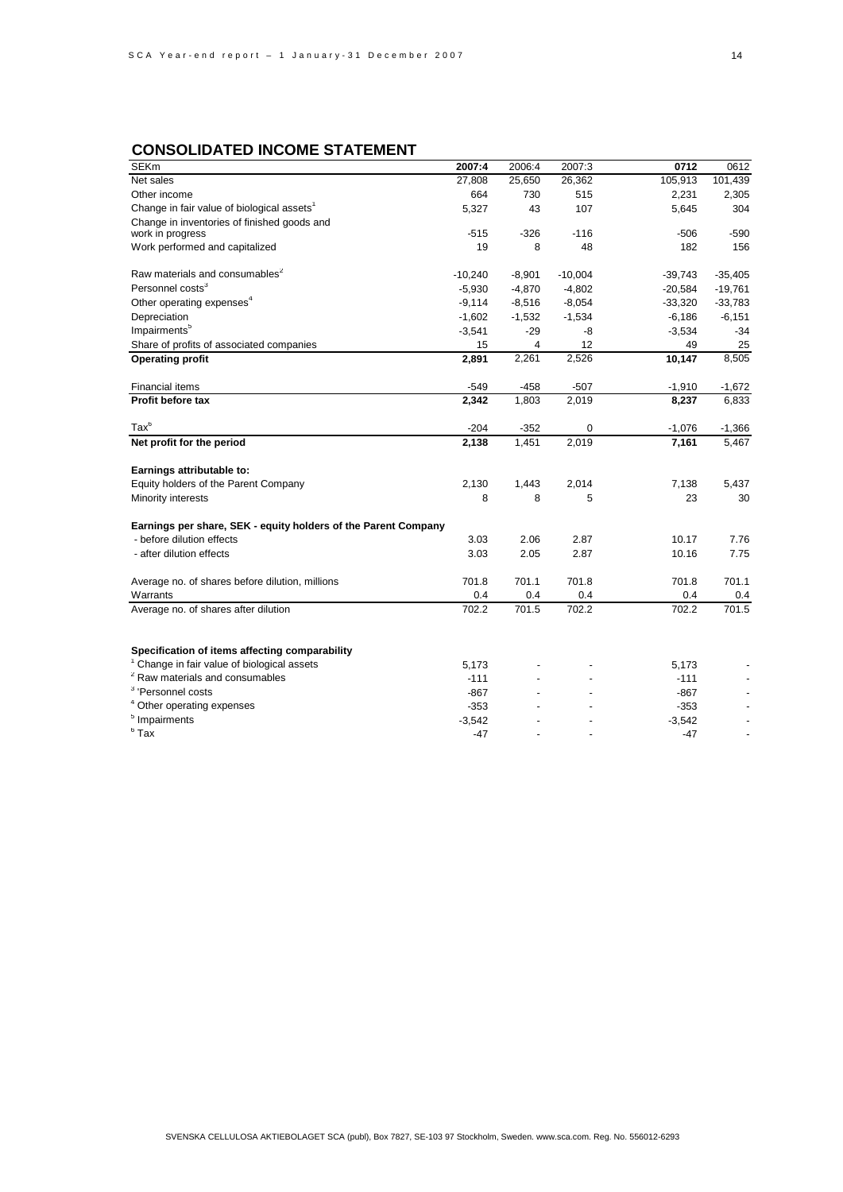# **CONSOLIDATED INCOME STATEMENT**

| <b>SEKm</b>                                                    | 2007:4    | 2006:4   | 2007:3    | 0712      | 0612      |
|----------------------------------------------------------------|-----------|----------|-----------|-----------|-----------|
| Net sales                                                      | 27,808    | 25,650   | 26,362    | 105,913   | 101,439   |
| Other income                                                   | 664       | 730      | 515       | 2,231     | 2,305     |
| Change in fair value of biological assets <sup>1</sup>         | 5,327     | 43       | 107       | 5,645     | 304       |
| Change in inventories of finished goods and                    |           |          |           |           |           |
| work in progress                                               | $-515$    | $-326$   | $-116$    | $-506$    | $-590$    |
| Work performed and capitalized                                 | 19        | 8        | 48        | 182       | 156       |
| Raw materials and consumables <sup>2</sup>                     | $-10,240$ | $-8,901$ | $-10,004$ | $-39,743$ | $-35,405$ |
| Personnel costs <sup>3</sup>                                   | $-5,930$  | $-4,870$ | $-4,802$  | $-20,584$ | $-19,761$ |
| Other operating expenses <sup>4</sup>                          | $-9,114$  | $-8,516$ | $-8,054$  | $-33,320$ | $-33,783$ |
| Depreciation                                                   | $-1,602$  | $-1,532$ | $-1,534$  | $-6,186$  | $-6,151$  |
| Impairments <sup>5</sup>                                       | $-3,541$  | $-29$    | -8        | $-3,534$  | $-34$     |
| Share of profits of associated companies                       | 15        | 4        | 12        | 49        | 25        |
| <b>Operating profit</b>                                        | 2,891     | 2,261    | 2,526     | 10,147    | 8,505     |
| <b>Financial items</b>                                         | $-549$    | -458     | $-507$    | $-1,910$  | $-1,672$  |
| Profit before tax                                              | 2,342     | 1,803    | 2,019     | 8,237     | 6,833     |
| $\text{Tax}^6$                                                 | $-204$    | $-352$   | 0         | $-1,076$  | $-1,366$  |
| Net profit for the period                                      | 2,138     | 1,451    | 2,019     | 7,161     | 5,467     |
| Earnings attributable to:                                      |           |          |           |           |           |
| Equity holders of the Parent Company                           | 2,130     | 1,443    | 2,014     | 7,138     | 5,437     |
| Minority interests                                             | 8         | 8        | 5         | 23        | 30        |
| Earnings per share, SEK - equity holders of the Parent Company |           |          |           |           |           |
| - before dilution effects                                      | 3.03      | 2.06     | 2.87      | 10.17     | 7.76      |
| - after dilution effects                                       | 3.03      | 2.05     | 2.87      | 10.16     | 7.75      |
| Average no. of shares before dilution, millions                | 701.8     | 701.1    | 701.8     | 701.8     | 701.1     |
| Warrants                                                       | 0.4       | 0.4      | 0.4       | 0.4       | 0.4       |
| Average no. of shares after dilution                           | 702.2     | 701.5    | 702.2     | 702.2     | 701.5     |
|                                                                |           |          |           |           |           |
| Specification of items affecting comparability                 |           |          |           |           |           |
| Change in fair value of biological assets                      | 5,173     |          |           | 5,173     |           |
| <sup>2</sup> Raw materials and consumables                     | $-111$    |          |           | $-111$    |           |
| <sup>3</sup> 'Personnel costs                                  | $-867$    |          |           | -867      |           |
| <sup>4</sup> Other operating expenses                          | $-353$    |          |           | $-353$    |           |
| <sup>5</sup> Impairments                                       | $-3,542$  |          |           | $-3,542$  |           |
| $6$ Tax                                                        | $-47$     |          |           | $-47$     |           |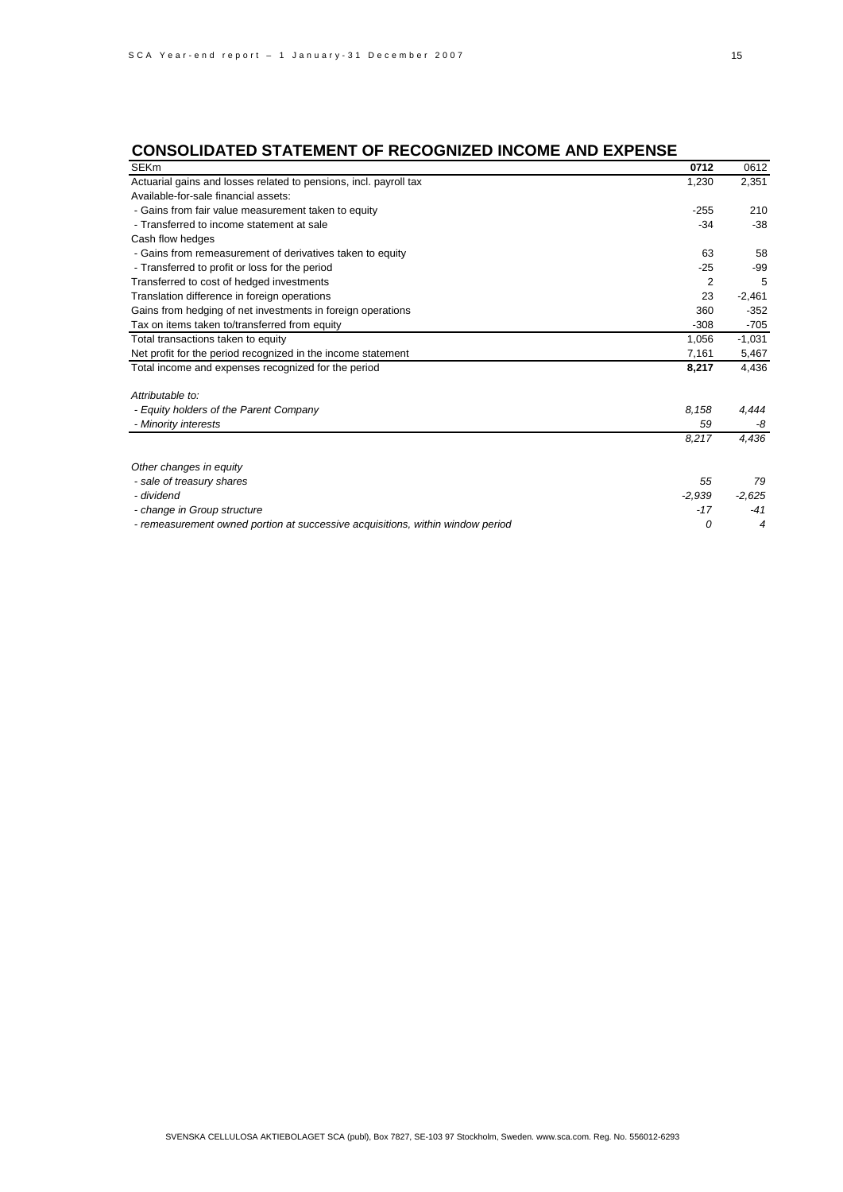# **CONSOLIDATED STATEMENT OF RECOGNIZED INCOME AND EXPENSE**

| <b>SEKm</b>                                                                    | 0712           | 0612     |
|--------------------------------------------------------------------------------|----------------|----------|
| Actuarial gains and losses related to pensions, incl. payroll tax              | 1,230          | 2,351    |
| Available-for-sale financial assets:                                           |                |          |
| - Gains from fair value measurement taken to equity                            | $-255$         | 210      |
| - Transferred to income statement at sale                                      | $-34$          | $-38$    |
| Cash flow hedges                                                               |                |          |
| - Gains from remeasurement of derivatives taken to equity                      | 63             | 58       |
| - Transferred to profit or loss for the period                                 | -25            | -99      |
| Transferred to cost of hedged investments                                      | $\overline{2}$ | 5        |
| Translation difference in foreign operations                                   | 23             | $-2,461$ |
| Gains from hedging of net investments in foreign operations                    | 360            | $-352$   |
| Tax on items taken to/transferred from equity                                  | $-308$         | $-705$   |
| Total transactions taken to equity                                             | 1.056          | $-1,031$ |
| Net profit for the period recognized in the income statement                   | 7,161          | 5,467    |
| Total income and expenses recognized for the period                            | 8,217          | 4,436    |
| Attributable to:                                                               |                |          |
| - Equity holders of the Parent Company                                         | 8,158          | 4,444    |
| - Minority interests                                                           | 59             | -8       |
|                                                                                | 8,217          | 4,436    |
| Other changes in equity                                                        |                |          |
| - sale of treasury shares                                                      | 55             | 79       |
| - dividend                                                                     | $-2,939$       | $-2,625$ |
| - change in Group structure                                                    | $-17$          | $-41$    |
| - remeasurement owned portion at successive acquisitions, within window period | 0              | 4        |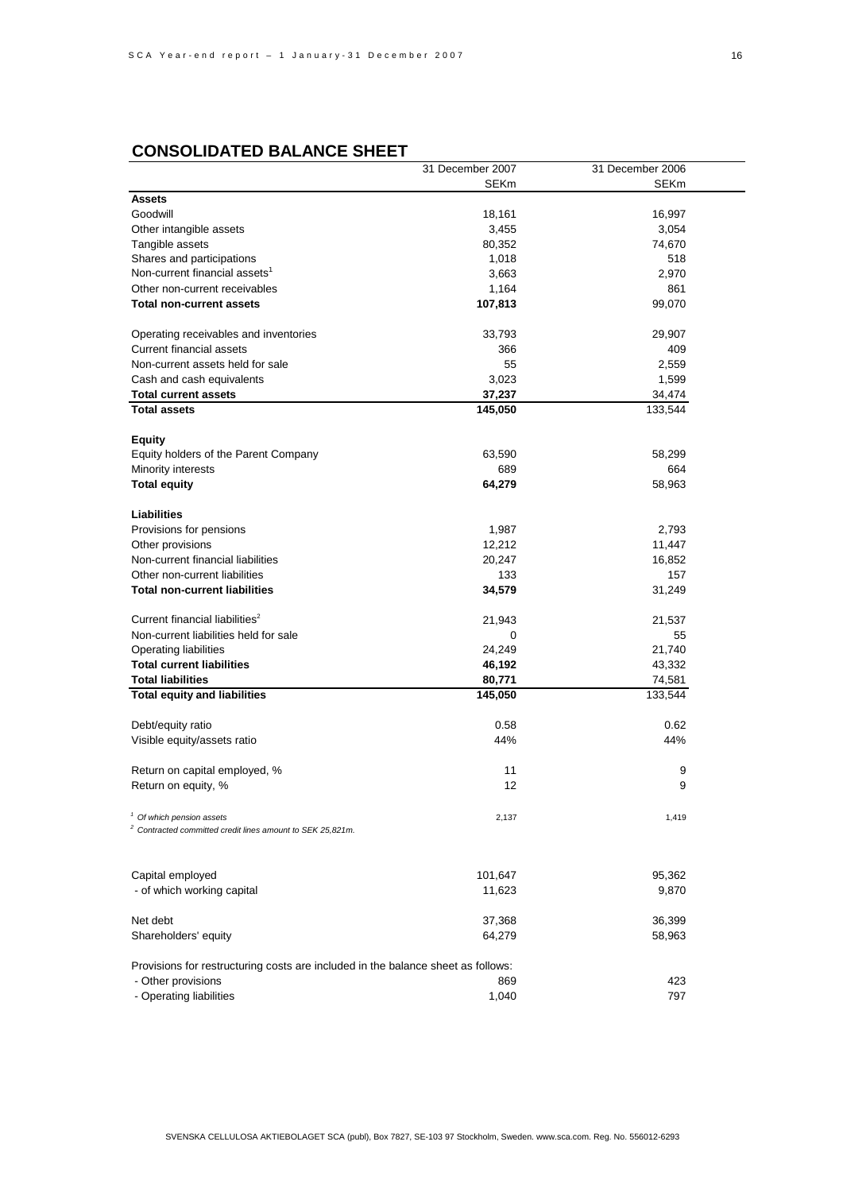|                                                                                  | 31 December 2007 | 31 December 2006 |
|----------------------------------------------------------------------------------|------------------|------------------|
|                                                                                  | <b>SEKm</b>      | <b>SEKm</b>      |
| <b>Assets</b>                                                                    |                  |                  |
| Goodwill                                                                         | 18,161           | 16,997           |
| Other intangible assets                                                          | 3,455            | 3,054            |
| Tangible assets                                                                  | 80,352           | 74,670           |
| Shares and participations                                                        | 1,018            | 518              |
| Non-current financial assets <sup>1</sup>                                        | 3,663            | 2,970            |
| Other non-current receivables                                                    | 1,164            | 861              |
| Total non-current assets                                                         | 107,813          | 99,070           |
|                                                                                  |                  |                  |
| Operating receivables and inventories                                            | 33,793           | 29,907           |
| <b>Current financial assets</b>                                                  | 366              | 409              |
| Non-current assets held for sale                                                 | 55               | 2,559            |
| Cash and cash equivalents                                                        | 3,023            | 1,599            |
| <b>Total current assets</b>                                                      | 37,237           | 34,474           |
| <b>Total assets</b>                                                              | 145,050          | 133,544          |
|                                                                                  |                  |                  |
| <b>Equity</b>                                                                    |                  |                  |
| Equity holders of the Parent Company                                             | 63,590           | 58,299           |
| Minority interests                                                               | 689              | 664              |
|                                                                                  | 64,279           | 58,963           |
| <b>Total equity</b>                                                              |                  |                  |
| Liabilities                                                                      |                  |                  |
|                                                                                  |                  |                  |
| Provisions for pensions                                                          | 1,987            | 2,793            |
| Other provisions                                                                 | 12,212           | 11,447           |
| Non-current financial liabilities                                                | 20,247           | 16,852           |
| Other non-current liabilities                                                    | 133              | 157              |
| <b>Total non-current liabilities</b>                                             | 34,579           | 31,249           |
|                                                                                  |                  |                  |
| Current financial liabilities <sup>2</sup>                                       | 21,943           | 21,537           |
| Non-current liabilities held for sale                                            | 0                | 55               |
| Operating liabilities                                                            | 24,249           | 21,740           |
| <b>Total current liabilities</b>                                                 | 46,192           | 43,332           |
| <b>Total liabilities</b>                                                         | 80,771           | 74,581           |
| <b>Total equity and liabilities</b>                                              | 145,050          | 133,544          |
|                                                                                  |                  |                  |
| Debt/equity ratio                                                                | 0.58             | 0.62             |
| Visible equity/assets ratio                                                      | 44%              | 44%              |
|                                                                                  |                  |                  |
| Return on capital employed, %                                                    | 11               | 9                |
| Return on equity, %                                                              | 12               | 9                |
|                                                                                  |                  |                  |
| <sup>1</sup> Of which pension assets                                             | 2,137            | 1,419            |
| <sup>2</sup> Contracted committed credit lines amount to SEK 25,821m.            |                  |                  |
|                                                                                  |                  |                  |
|                                                                                  |                  |                  |
| Capital employed                                                                 | 101,647          | 95,362           |
| - of which working capital                                                       | 11,623           | 9,870            |
|                                                                                  |                  |                  |
| Net debt                                                                         | 37,368           | 36,399           |
| Shareholders' equity                                                             | 64,279           | 58,963           |
|                                                                                  |                  |                  |
| Provisions for restructuring costs are included in the balance sheet as follows: |                  |                  |
| - Other provisions                                                               | 869              | 423              |
| - Operating liabilities                                                          | 1,040            | 797              |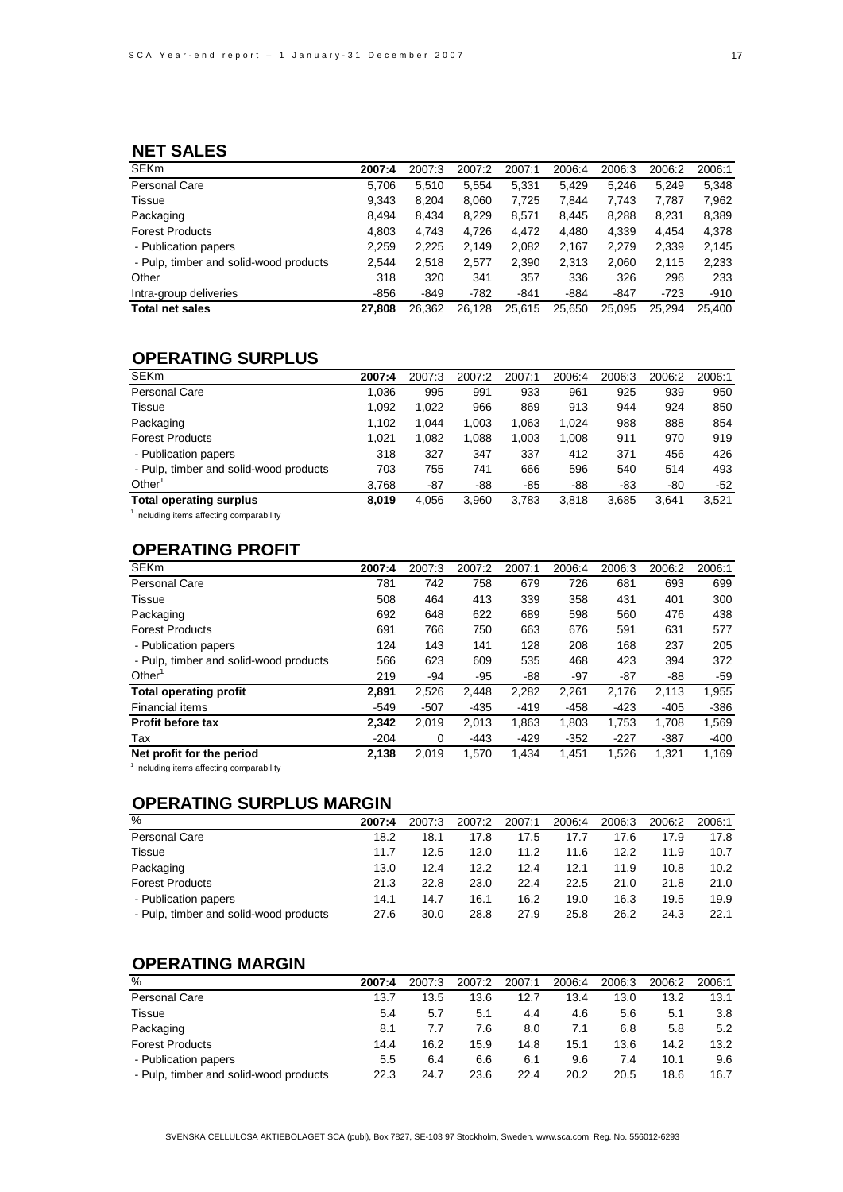# **NET SALES**

| <b>SEKm</b>                            | 2007:4 | 2007:3 | 2007:2 | 2007:1 | 2006:4 | 2006:3 | 2006:2 | 2006:1 |
|----------------------------------------|--------|--------|--------|--------|--------|--------|--------|--------|
| Personal Care                          | 5,706  | 5,510  | 5,554  | 5,331  | 5.429  | 5.246  | 5.249  | 5,348  |
| Tissue                                 | 9,343  | 8,204  | 8,060  | 7,725  | 7,844  | 7,743  | 7,787  | 7,962  |
| Packaging                              | 8.494  | 8.434  | 8,229  | 8,571  | 8.445  | 8.288  | 8,231  | 8,389  |
| <b>Forest Products</b>                 | 4.803  | 4.743  | 4.726  | 4.472  | 4.480  | 4,339  | 4.454  | 4,378  |
| - Publication papers                   | 2,259  | 2,225  | 2.149  | 2,082  | 2,167  | 2,279  | 2,339  | 2,145  |
| - Pulp, timber and solid-wood products | 2.544  | 2,518  | 2,577  | 2,390  | 2,313  | 2,060  | 2.115  | 2,233  |
| Other                                  | 318    | 320    | 341    | 357    | 336    | 326    | 296    | 233    |
| Intra-group deliveries                 | $-856$ | $-849$ | $-782$ | -841   | $-884$ | $-847$ | $-723$ | $-910$ |
| <b>Total net sales</b>                 | 27.808 | 26.362 | 26.128 | 25,615 | 25.650 | 25.095 | 25.294 | 25.400 |

# **OPERATING SURPLUS**

| <b>SEKm</b>                                           | 2007:4 | 2007:3 | 2007:2 | 2007:1 | 2006:4 | 2006:3 | 2006:2 | 2006:1 |
|-------------------------------------------------------|--------|--------|--------|--------|--------|--------|--------|--------|
| <b>Personal Care</b>                                  | 1,036  | 995    | 991    | 933    | 961    | 925    | 939    | 950    |
| Tissue                                                | 1.092  | 1,022  | 966    | 869    | 913    | 944    | 924    | 850    |
| Packaging                                             | 1.102  | 1.044  | 1.003  | 1.063  | 1.024  | 988    | 888    | 854    |
| <b>Forest Products</b>                                | 1.021  | 1,082  | 1,088  | 1.003  | 1.008  | 911    | 970    | 919    |
| - Publication papers                                  | 318    | 327    | 347    | 337    | 412    | 371    | 456    | 426    |
| - Pulp, timber and solid-wood products                | 703    | 755    | 741    | 666    | 596    | 540    | 514    | 493    |
| Other <sup>'</sup>                                    | 3,768  | $-87$  | -88    | -85    | -88    | -83    | -80    | $-52$  |
| <b>Total operating surplus</b>                        | 8.019  | 4.056  | 3.960  | 3.783  | 3.818  | 3.685  | 3.641  | 3,521  |
| <sup>1</sup> lastudina itana affastina sanananakilitu |        |        |        |        |        |        |        |        |

<sup>1</sup> Including items affecting comparability

# **OPERATING PROFIT**

| <b>SEKm</b>                            | 2007:4 | 2007:3 | 2007:2 | 2007:1 | 2006:4 | 2006:3 | 2006:2 | 2006:1 |
|----------------------------------------|--------|--------|--------|--------|--------|--------|--------|--------|
| Personal Care                          | 781    | 742    | 758    | 679    | 726    | 681    | 693    | 699    |
| Tissue                                 | 508    | 464    | 413    | 339    | 358    | 431    | 401    | 300    |
| Packaging                              | 692    | 648    | 622    | 689    | 598    | 560    | 476    | 438    |
| <b>Forest Products</b>                 | 691    | 766    | 750    | 663    | 676    | 591    | 631    | 577    |
| - Publication papers                   | 124    | 143    | 141    | 128    | 208    | 168    | 237    | 205    |
| - Pulp, timber and solid-wood products | 566    | 623    | 609    | 535    | 468    | 423    | 394    | 372    |
| Other                                  | 219    | -94    | $-95$  | -88    | $-97$  | $-87$  | -88    | $-59$  |
| <b>Total operating profit</b>          | 2,891  | 2,526  | 2,448  | 2,282  | 2,261  | 2.176  | 2,113  | 1,955  |
| Financial items                        | $-549$ | $-507$ | $-435$ | $-419$ | $-458$ | $-423$ | $-405$ | $-386$ |
| <b>Profit before tax</b>               | 2.342  | 2,019  | 2.013  | 1,863  | 1,803  | 1,753  | 1,708  | 1,569  |
| Tax                                    | $-204$ | 0      | -443   | $-429$ | $-352$ | $-227$ | $-387$ | $-400$ |
| Net profit for the period              | 2.138  | 2.019  | 1.570  | 1.434  | 1.451  | 1.526  | 1.321  | 1.169  |

<sup>1</sup> Including items affecting comparability

# **OPERATING SURPLUS MARGIN**

| $\%$                                   | 2007:4 | 2007:3 | 2007:2 | 2007:1 | 2006:4 | 2006:3 | 2006:2 | 2006:1 |
|----------------------------------------|--------|--------|--------|--------|--------|--------|--------|--------|
| Personal Care                          | 18.2   | 18.1   | 17.8   | 17.5   | 17.7   | 17.6   | 17.9   | 17.8   |
| <b>Tissue</b>                          | 11.7   | 12.5   | 12.0   | 11.2   | 11.6   | 12.2   | 11.9   | 10.7   |
| Packaging                              | 13.0   | 12.4   | 12.2   | 12.4   | 12.1   | 11.9   | 10.8   | 10.2   |
| <b>Forest Products</b>                 | 21.3   | 22.8   | 23.0   | 22.4   | 22.5   | 21.0   | 21.8   | 21.0   |
| - Publication papers                   | 14.1   | 14.7   | 16.1   | 16.2   | 19.0   | 16.3   | 19.5   | 19.9   |
| - Pulp, timber and solid-wood products | 27.6   | 30.0   | 28.8   | 27.9   | 25.8   | 26.2   | 24.3   | 22.1   |

# **OPERATING MARGIN**

| %                                      | 2007:4 | 2007:3 | 2007:2 | 2007:1 | 2006:4 | 2006:3 | 2006:2 | 2006:1 |
|----------------------------------------|--------|--------|--------|--------|--------|--------|--------|--------|
| Personal Care                          | 13.7   | 13.5   | 13.6   | 12.7   | 13.4   | 13.0   | 13.2   | 13.1   |
| <b>Tissue</b>                          | 5.4    | 5.7    | 5.1    | 4.4    | 4.6    | 5.6    | 5.1    | 3.8    |
| Packaging                              | 8.1    | 7.7    | 7.6    | 8.0    | 7.1    | 6.8    | 5.8    | 5.2    |
| <b>Forest Products</b>                 | 14.4   | 16.2   | 15.9   | 14.8   | 15.1   | 13.6   | 14.2   | 13.2   |
| - Publication papers                   | 5.5    | 6.4    | 6.6    | 6.1    | 9.6    | 7.4    | 10.1   | 9.6    |
| - Pulp, timber and solid-wood products | 22.3   | 24.7   | 23.6   | 22.4   | 20.2   | 20.5   | 18.6   | 16.7   |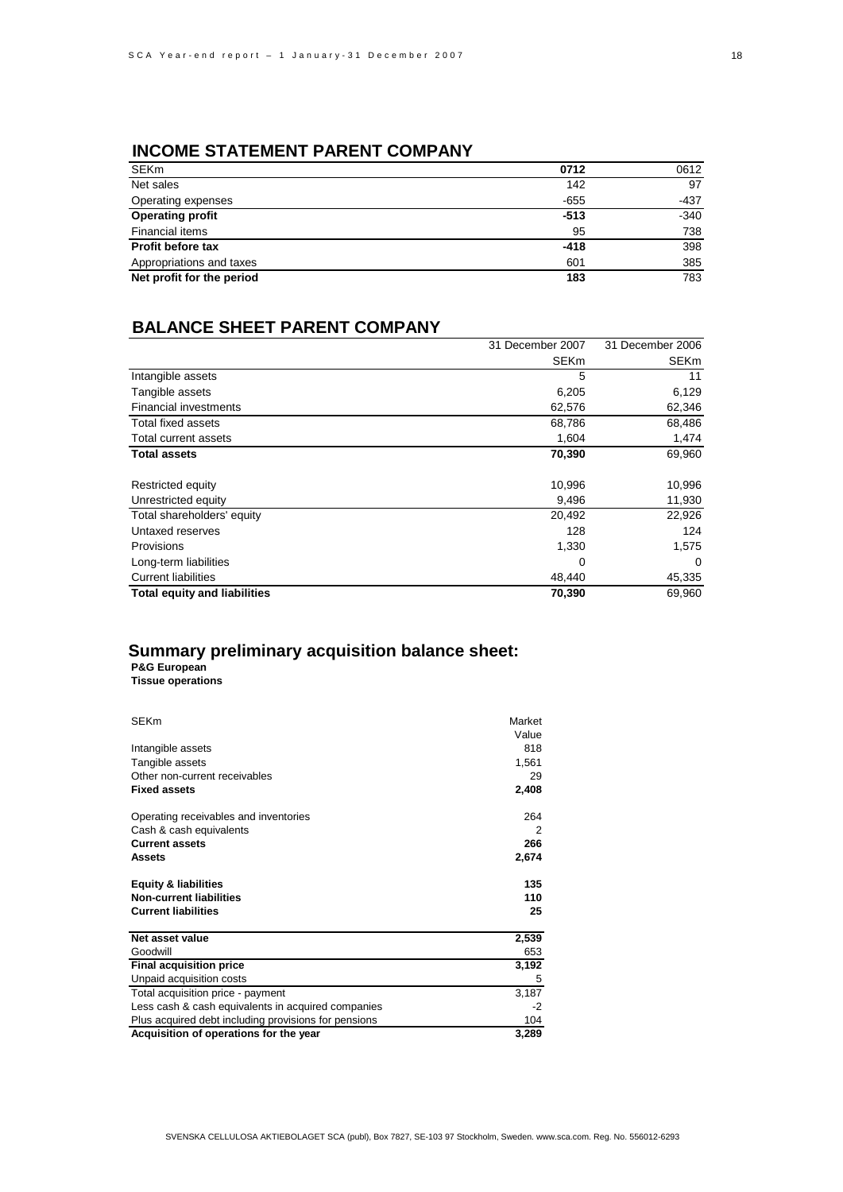# **INCOME STATEMENT PARENT COMPANY**

| <b>SEKm</b>               | 0712   | 0612   |
|---------------------------|--------|--------|
| Net sales                 | 142    | 97     |
| Operating expenses        | $-655$ | -437   |
| <b>Operating profit</b>   | $-513$ | $-340$ |
| Financial items           | 95     | 738    |
| <b>Profit before tax</b>  | $-418$ | 398    |
| Appropriations and taxes  | 601    | 385    |
| Net profit for the period | 183    | 783    |

# **BALANCE SHEET PARENT COMPANY**

|                                     | 31 December 2007 | 31 December 2006 |
|-------------------------------------|------------------|------------------|
|                                     | <b>SEKm</b>      | <b>SEKm</b>      |
| Intangible assets                   | 5                | 11               |
| Tangible assets                     | 6,205            | 6,129            |
| <b>Financial investments</b>        | 62,576           | 62,346           |
| Total fixed assets                  | 68,786           | 68,486           |
| Total current assets                | 1,604            | 1,474            |
| <b>Total assets</b>                 | 70,390           | 69,960           |
|                                     |                  |                  |
| Restricted equity                   | 10,996           | 10,996           |
| Unrestricted equity                 | 9,496            | 11,930           |
| Total shareholders' equity          | 20,492           | 22,926           |
| Untaxed reserves                    | 128              | 124              |
| Provisions                          | 1,330            | 1,575            |
| Long-term liabilities               | 0                | $\Omega$         |
| <b>Current liabilities</b>          | 48,440           | 45,335           |
| <b>Total equity and liabilities</b> | 70,390           | 69,960           |

# **Summary preliminary acquisition balance sheet:**

**P&G European Tissue operations**

| <b>SEKm</b>                                          | Market |
|------------------------------------------------------|--------|
|                                                      | Value  |
| Intangible assets                                    | 818    |
| Tangible assets                                      | 1,561  |
| Other non-current receivables                        | 29     |
| <b>Fixed assets</b>                                  | 2,408  |
|                                                      |        |
| Operating receivables and inventories                | 264    |
| Cash & cash equivalents                              | 2      |
| <b>Current assets</b>                                | 266    |
| Assets                                               | 2,674  |
|                                                      |        |
| <b>Equity &amp; liabilities</b>                      | 135    |
| <b>Non-current liabilities</b>                       | 110    |
| <b>Current liabilities</b>                           | 25     |
|                                                      |        |
| Net asset value                                      | 2,539  |
| Goodwill                                             | 653    |
| <b>Final acquisition price</b>                       | 3,192  |
| Unpaid acquisition costs                             | 5      |
| Total acquisition price - payment                    | 3,187  |
| Less cash & cash equivalents in acquired companies   | $-2$   |
| Plus acquired debt including provisions for pensions | 104    |
| Acquisition of operations for the year               | 3,289  |